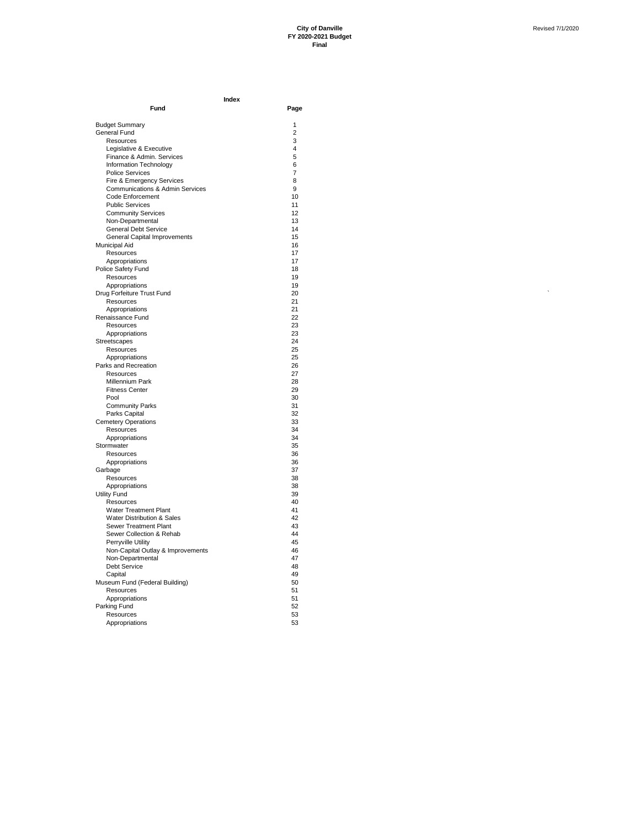$\ddot{\phantom{a}}$ 

| Fund                                       | Page           |
|--------------------------------------------|----------------|
| <b>Budget Summary</b>                      | $\overline{1}$ |
| <b>General Fund</b>                        | 2              |
| Resources                                  | 3              |
| Legislative & Executive                    | 4              |
| Finance & Admin. Services                  | 5              |
| Information Technology                     | 6              |
| <b>Police Services</b>                     | $\overline{7}$ |
| Fire & Emergency Services                  | 8              |
| <b>Communications &amp; Admin Services</b> | 9              |
| Code Enforcement                           | 10             |
| <b>Public Services</b>                     | 11             |
| <b>Community Services</b>                  | 12             |
| Non-Departmental                           | 13             |
| <b>General Debt Service</b>                | 14             |
| General Capital Improvements               | 15<br>16       |
| Municipal Aid<br>Resources                 | 17             |
| Appropriations                             | 17             |
| Police Safety Fund                         | 18             |
| Resources                                  | 19             |
| Appropriations                             | 19             |
| Drug Forfeiture Trust Fund                 | 20             |
| Resources                                  | 21             |
| Appropriations                             | 21             |
| Renaissance Fund                           | 22             |
| Resources                                  | 23             |
| Appropriations                             | 23             |
| Streetscapes                               | 24             |
| Resources                                  | 25             |
| Appropriations                             | 25             |
| Parks and Recreation                       | 26             |
| Resources<br><b>Millennium Park</b>        | 27<br>28       |
| <b>Fitness Center</b>                      | 29             |
| Pool                                       | 30             |
| <b>Community Parks</b>                     | 31             |
| Parks Capital                              | 32             |
| <b>Cemetery Operations</b>                 | 33             |
| Resources                                  | 34             |
| Appropriations                             | 34             |
| Stormwater                                 | 35             |
| Resources                                  | 36             |
| Appropriations                             | 36             |
| Garbage                                    | 37             |
| Resources                                  | 38             |
| Appropriations                             | 38             |
| <b>Utility Fund</b>                        | 39<br>40       |
| Resources<br><b>Water Treatment Plant</b>  | 41             |
| <b>Water Distribution &amp; Sales</b>      | 42             |
| Sewer Treatment Plant                      | 43             |
| Sewer Collection & Rehab                   | 44             |
| Perryville Utility                         | 45             |
| Non-Capital Outlay & Improvements          | 46             |
| Non-Departmental                           | 47             |
| <b>Debt Service</b>                        | 48             |
| Capital                                    | 49             |
| Museum Fund (Federal Building)             | 50             |
| Resources                                  | 51             |
| Appropriations                             | 51             |
| Parking Fund                               | 52             |
| Resources                                  | 53             |
| Appropriations                             | 53             |

**Index**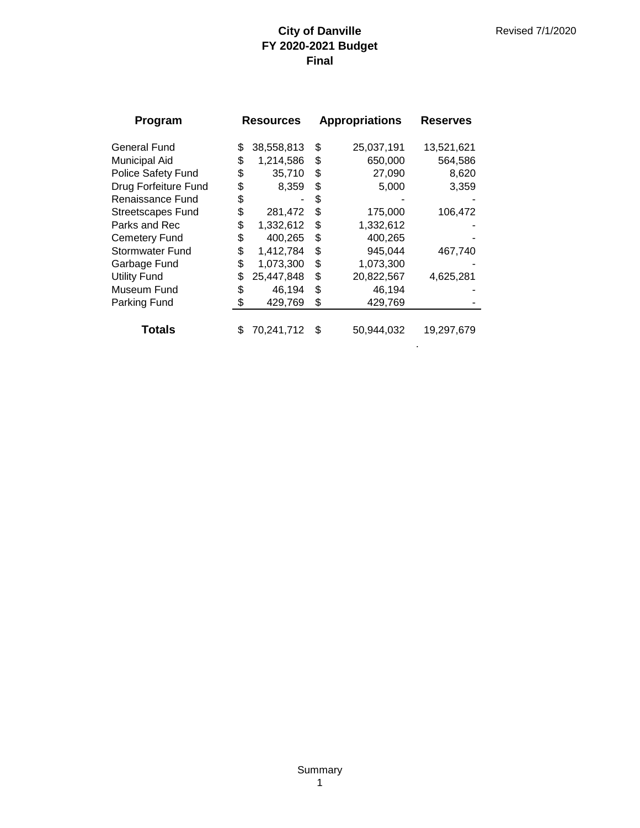| Program                  | <b>Resources</b> |            | <b>Appropriations</b> |            |            |  |  |  |  |  |  |  | <b>Reserves</b> |  |
|--------------------------|------------------|------------|-----------------------|------------|------------|--|--|--|--|--|--|--|-----------------|--|
| <b>General Fund</b>      | \$               | 38,558,813 | \$                    | 25,037,191 | 13,521,621 |  |  |  |  |  |  |  |                 |  |
| <b>Municipal Aid</b>     | \$               | 1,214,586  | \$                    | 650,000    | 564,586    |  |  |  |  |  |  |  |                 |  |
| Police Safety Fund       | \$               | 35,710     | \$                    | 27,090     | 8,620      |  |  |  |  |  |  |  |                 |  |
| Drug Forfeiture Fund     | \$               | 8,359      | \$                    | 5,000      | 3,359      |  |  |  |  |  |  |  |                 |  |
| Renaissance Fund         | \$               |            | S                     |            |            |  |  |  |  |  |  |  |                 |  |
| <b>Streetscapes Fund</b> | \$               | 281,472    | \$                    | 175,000    | 106,472    |  |  |  |  |  |  |  |                 |  |
| Parks and Rec            | \$               | 1,332,612  | \$                    | 1,332,612  |            |  |  |  |  |  |  |  |                 |  |
| <b>Cemetery Fund</b>     | \$               | 400,265    | \$                    | 400,265    |            |  |  |  |  |  |  |  |                 |  |
| <b>Stormwater Fund</b>   | \$               | 1,412,784  | \$                    | 945,044    | 467,740    |  |  |  |  |  |  |  |                 |  |
| Garbage Fund             | \$               | 1,073,300  | \$                    | 1,073,300  |            |  |  |  |  |  |  |  |                 |  |
| <b>Utility Fund</b>      | \$               | 25,447,848 | \$                    | 20,822,567 | 4,625,281  |  |  |  |  |  |  |  |                 |  |
| Museum Fund              | \$               | 46,194     | \$                    | 46,194     |            |  |  |  |  |  |  |  |                 |  |
| Parking Fund             | \$               | 429,769    | \$                    | 429,769    |            |  |  |  |  |  |  |  |                 |  |
|                          |                  |            |                       |            |            |  |  |  |  |  |  |  |                 |  |
| <b>Totals</b>            | \$               | 70,241,712 | \$                    | 50,944,032 | 19,297,679 |  |  |  |  |  |  |  |                 |  |

.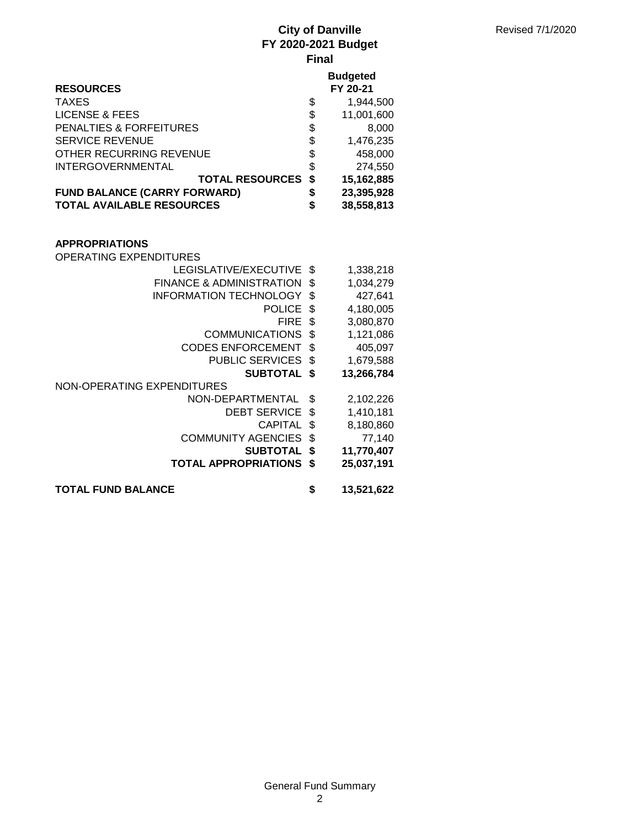|                                     |     | <b>Budgeted</b> |
|-------------------------------------|-----|-----------------|
| <b>RESOURCES</b>                    |     | FY 20-21        |
| <b>TAXES</b>                        | \$  | 1,944,500       |
| LICENSE & FEES                      | \$  | 11,001,600      |
| <b>PENALTIES &amp; FORFEITURES</b>  | \$  | 8,000           |
| <b>SERVICE REVENUE</b>              | \$  | 1,476,235       |
| OTHER RECURRING REVENUE             | \$  | 458,000         |
| <b>INTERGOVERNMENTAL</b>            | \$  | 274,550         |
| <b>TOTAL RESOURCES</b>              | \$  | 15,162,885      |
| <b>FUND BALANCE (CARRY FORWARD)</b> | \$  | 23,395,928      |
| <b>TOTAL AVAILABLE RESOURCES</b>    | \$  | 38,558,813      |
|                                     |     |                 |
|                                     |     |                 |
| <b>APPROPRIATIONS</b>               |     |                 |
| OPERATING EXPENDITURES              |     |                 |
| LEGISLATIVE/EXECUTIVE \$            |     | 1,338,218       |
| FINANCE & ADMINISTRATION \$         |     | 1,034,279       |
| INFORMATION TECHNOLOGY              | \$. | 427,641         |
| חמו ומח                             | ₼   | 1.100000        |

- POLICE \$ 4,180,005 FIRE \$ 3,080,870
- COMMUNICATIONS \$1,121,086
- CODES ENFORCEMENT \$ 405,097
- PUBLIC SERVICES  $$$  1,679,588 **SUBTOTAL \$ 13,266,784**
- NON-OPERATING EXPENDITURES
	- NON-DEPARTMENTAL \$ 2,102,226 DEBT SERVICE \$ 1,410,181 CAPITAL \$ 8,180,860
		-
		- COMMUNITY AGENCIES \$ 77,140
			- **SUBTOTAL \$ 11,770,407**
		- **TOTAL APPROPRIATIONS \$ 25,037,191**
- **TOTAL FUND BALANCE \$ 13,521,622**
	-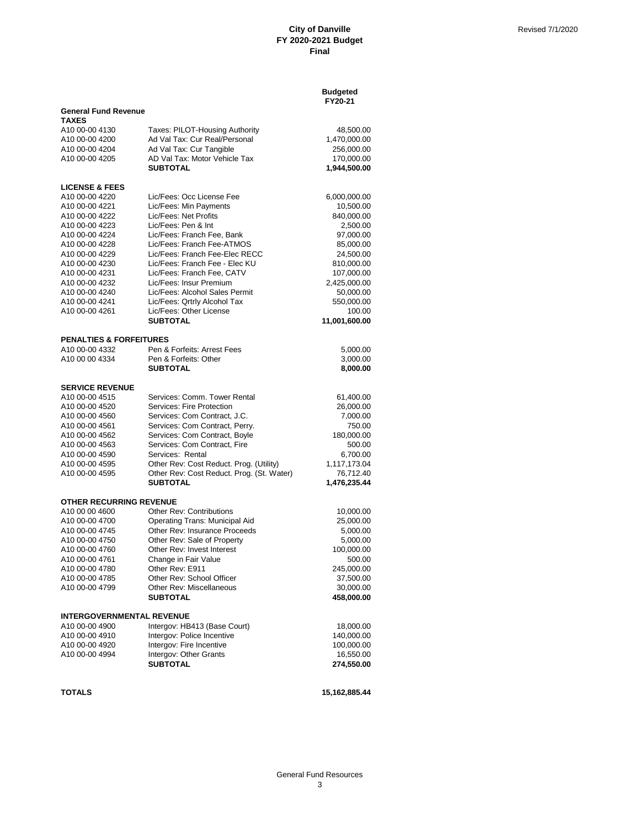|                                             |                                                              | <b>Budgeted</b><br>FY20-21 |
|---------------------------------------------|--------------------------------------------------------------|----------------------------|
| <b>General Fund Revenue</b><br><b>TAXES</b> |                                                              |                            |
| A10 00-00 4130                              | Taxes: PILOT-Housing Authority                               | 48,500.00                  |
| A10 00-00 4200                              | Ad Val Tax: Cur Real/Personal                                | 1,470,000.00               |
| A10 00-00 4204                              | Ad Val Tax: Cur Tangible                                     | 256,000.00                 |
| A10 00-00 4205                              | AD Val Tax: Motor Vehicle Tax                                | 170,000.00                 |
|                                             | <b>SUBTOTAL</b>                                              | 1,944,500.00               |
| <b>LICENSE &amp; FEES</b>                   |                                                              |                            |
| A10 00-00 4220                              | Lic/Fees: Occ License Fee                                    | 6,000,000.00               |
| A10 00-00 4221                              | Lic/Fees: Min Payments                                       | 10,500.00                  |
| A10 00-00 4222                              | Lic/Fees: Net Profits                                        | 840,000.00                 |
| A10 00-00 4223                              | Lic/Fees: Pen & Int                                          | 2,500.00                   |
| A10 00-00 4224                              | Lic/Fees: Franch Fee, Bank                                   | 97,000.00                  |
| A10 00-00 4228                              | Lic/Fees: Franch Fee-ATMOS                                   | 85,000.00                  |
| A10 00-00 4229                              | Lic/Fees: Franch Fee-Elec RECC                               | 24,500.00                  |
| A10 00-00 4230                              | Lic/Fees: Franch Fee - Elec KU                               | 810,000.00                 |
| A10 00-00 4231                              | Lic/Fees: Franch Fee, CATV                                   | 107,000.00                 |
| A10 00-00 4232                              | Lic/Fees: Insur Premium                                      | 2,425,000.00               |
| A10 00-00 4240                              | Lic/Fees: Alcohol Sales Permit                               | 50,000.00                  |
| A10 00-00 4241                              | Lic/Fees: Qrtrly Alcohol Tax                                 | 550,000.00                 |
| A10 00-00 4261                              | Lic/Fees: Other License<br><b>SUBTOTAL</b>                   | 100.00                     |
|                                             |                                                              | 11,001,600.00              |
| <b>PENALTIES &amp; FORFEITURES</b>          |                                                              |                            |
| A10 00-00 4332                              | Pen & Forfeits: Arrest Fees                                  | 5,000.00                   |
| A10 00 00 4334                              | Pen & Forfeits: Other                                        | 3,000.00                   |
|                                             | <b>SUBTOTAL</b>                                              | 8,000.00                   |
| <b>SERVICE REVENUE</b>                      |                                                              |                            |
| A10 00-00 4515                              | Services: Comm. Tower Rental                                 | 61,400.00                  |
| A10 00-00 4520                              | Services: Fire Protection                                    | 26,000.00                  |
| A10 00-00 4560                              | Services: Com Contract, J.C.                                 | 7,000.00                   |
| A <sub>10</sub> 00-00 4561                  | Services: Com Contract, Perry.                               | 750.00                     |
| A <sub>10</sub> 00-00 4562                  | Services: Com Contract, Boyle                                | 180,000.00                 |
| A10 00-00 4563                              | Services: Com Contract, Fire                                 | 500.00                     |
| A10 00-00 4590                              | Services: Rental                                             | 6,700.00                   |
| A10 00-00 4595                              | Other Rev: Cost Reduct. Prog. (Utility)                      | 1,117,173.04               |
| A10 00-00 4595                              | Other Rev: Cost Reduct. Prog. (St. Water)<br><b>SUBTOTAL</b> | 76,712.40<br>1,476,235.44  |
|                                             |                                                              |                            |
| OTHER RECURRING REVENUE                     |                                                              |                            |
| A10 00 00 4600                              | <b>Other Rev: Contributions</b>                              | 10,000.00                  |
| A10 00-00 4700                              | <b>Operating Trans: Municipal Aid</b>                        | 25,000.00                  |
| A10 00-00 4745                              | Other Rev: Insurance Proceeds                                | 5,000.00                   |
| A10 00-00 4750                              | Other Rev: Sale of Property<br>Other Rev: Invest Interest    | 5,000.00                   |
| A10 00-00 4760                              |                                                              | 100,000.00<br>500.00       |
| A10 00-00 4761<br>A10 00-00 4780            | Change in Fair Value<br>Other Rev: E911                      | 245,000.00                 |
| A10 00-00 4785                              | Other Rev: School Officer                                    | 37,500.00                  |
| A10 00-00 4799                              | Other Rev: Miscellaneous                                     | 30,000.00                  |
|                                             | <b>SUBTOTAL</b>                                              | 458,000.00                 |
|                                             |                                                              |                            |
| <b>INTERGOVERNMENTAL REVENUE</b>            |                                                              |                            |
| A10 00-00 4900<br>A10 00-00 4910            | Intergov: HB413 (Base Court)                                 | 18,000.00                  |
| A10 00-00 4920                              | Intergov: Police Incentive<br>Intergov: Fire Incentive       | 140,000.00<br>100,000.00   |
| A10 00-00 4994                              | Intergov: Other Grants                                       | 16,550.00                  |
|                                             | <b>SUBTOTAL</b>                                              | 274,550.00                 |
|                                             |                                                              |                            |
| <b>TOTALS</b>                               |                                                              | 15,162,885.44              |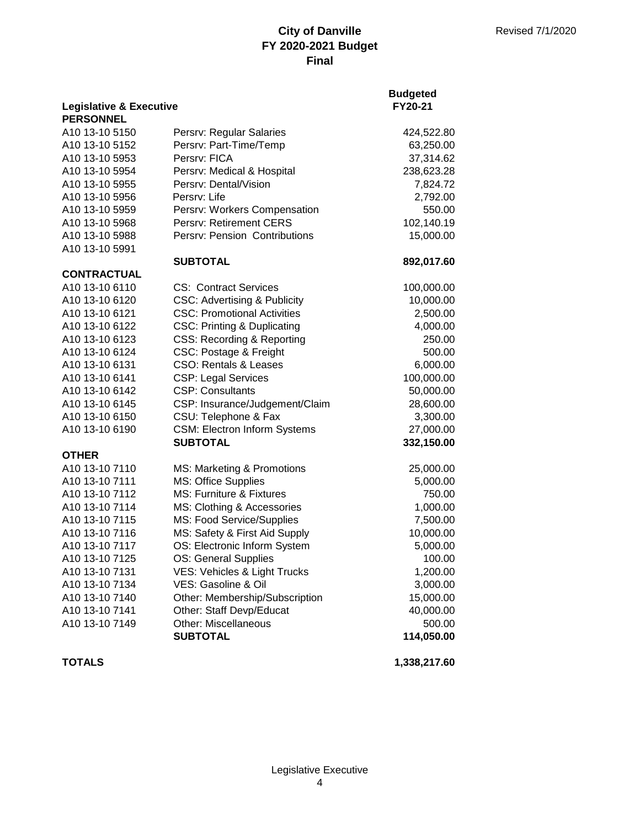|                                                        |                                         | <b>Budgeted</b> |
|--------------------------------------------------------|-----------------------------------------|-----------------|
| <b>Legislative &amp; Executive</b><br><b>PERSONNEL</b> |                                         | FY20-21         |
| A10 13-10 5150                                         | Persrv: Regular Salaries                | 424,522.80      |
| A10 13-10 5152                                         | Persrv: Part-Time/Temp                  | 63,250.00       |
| A10 13-10 5953                                         | Persrv: FICA                            | 37,314.62       |
| A10 13-10 5954                                         | Persrv: Medical & Hospital              | 238,623.28      |
| A10 13-10 5955                                         | Persrv: Dental/Vision                   | 7,824.72        |
| A10 13-10 5956                                         | Persrv: Life                            | 2,792.00        |
| A10 13-10 5959                                         | Persrv: Workers Compensation            | 550.00          |
| A10 13-10 5968                                         | Persrv: Retirement CERS                 | 102,140.19      |
| A10 13-10 5988                                         | Persrv: Pension Contributions           | 15,000.00       |
| A10 13-10 5991                                         |                                         |                 |
|                                                        | <b>SUBTOTAL</b>                         | 892,017.60      |
| <b>CONTRACTUAL</b>                                     |                                         |                 |
| A10 13-10 6110                                         | <b>CS: Contract Services</b>            | 100,000.00      |
| A10 13-10 6120                                         | <b>CSC: Advertising &amp; Publicity</b> | 10,000.00       |
| A10 13-10 6121                                         | <b>CSC: Promotional Activities</b>      | 2,500.00        |
| A10 13-10 6122                                         | <b>CSC: Printing &amp; Duplicating</b>  | 4,000.00        |
| A10 13-10 6123                                         | <b>CSS: Recording &amp; Reporting</b>   | 250.00          |
| A10 13-10 6124                                         | CSC: Postage & Freight                  | 500.00          |
| A10 13-10 6131                                         | <b>CSO: Rentals &amp; Leases</b>        | 6,000.00        |
| A10 13-10 6141                                         | <b>CSP: Legal Services</b>              | 100,000.00      |
| A10 13-10 6142                                         | <b>CSP: Consultants</b>                 | 50,000.00       |
| A10 13-10 6145                                         | CSP: Insurance/Judgement/Claim          | 28,600.00       |
| A10 13-10 6150                                         | CSU: Telephone & Fax                    | 3,300.00        |
| A10 13-10 6190                                         | <b>CSM: Electron Inform Systems</b>     | 27,000.00       |
|                                                        | <b>SUBTOTAL</b>                         | 332,150.00      |
| <b>OTHER</b>                                           |                                         |                 |
| A10 13-10 7110                                         | MS: Marketing & Promotions              | 25,000.00       |
| A10 13-10 7111                                         | <b>MS: Office Supplies</b>              | 5,000.00        |
| A10 13-10 7112                                         | MS: Furniture & Fixtures                | 750.00          |
| A10 13-10 7114                                         | MS: Clothing & Accessories              | 1,000.00        |
| A10 13-10 7115                                         | MS: Food Service/Supplies               | 7,500.00        |
| A10 13-10 7116                                         | MS: Safety & First Aid Supply           | 10,000.00       |
| A10 13-10 7117                                         | OS: Electronic Inform System            | 5,000.00        |
| A10 13-10 7125                                         | OS: General Supplies                    | 100.00          |
| A10 13-10 7131                                         | VES: Vehicles & Light Trucks            | 1,200.00        |
| A10 13-10 7134                                         | VES: Gasoline & Oil                     | 3,000.00        |
| A10 13-10 7140                                         | Other: Membership/Subscription          | 15,000.00       |
| A10 13-10 7141                                         | Other: Staff Devp/Educat                | 40,000.00       |
| A10 13-10 7149                                         | Other: Miscellaneous                    | 500.00          |
|                                                        | <b>SUBTOTAL</b>                         | 114,050.00      |

**TOTALS 1,338,217.60**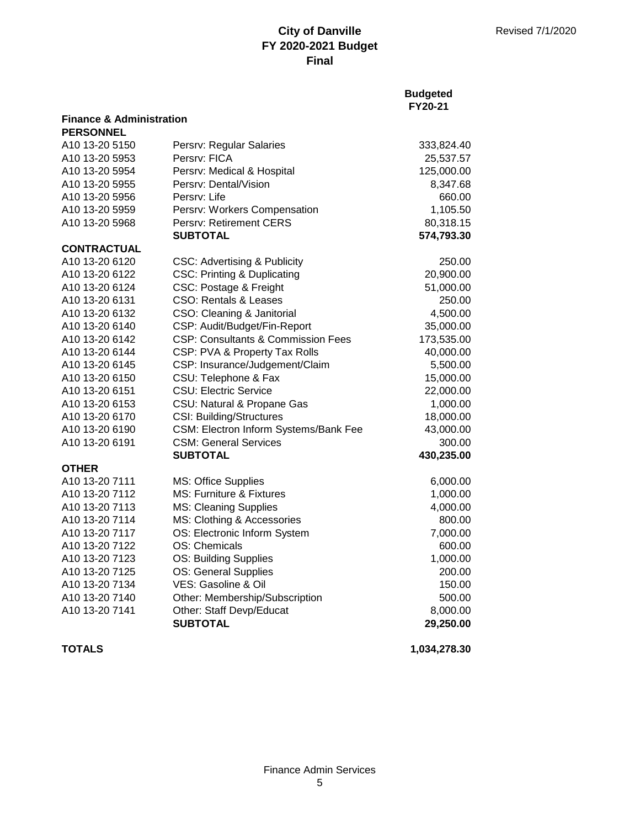|                                     |                                               | <b>Budgeted</b><br>FY20-21 |
|-------------------------------------|-----------------------------------------------|----------------------------|
| <b>Finance &amp; Administration</b> |                                               |                            |
| <b>PERSONNEL</b>                    |                                               |                            |
| A10 13-20 5150                      | Persrv: Regular Salaries                      | 333,824.40                 |
| A10 13-20 5953                      | Persry: FICA                                  | 25,537.57                  |
| A10 13-20 5954                      | Persrv: Medical & Hospital                    | 125,000.00                 |
| A10 13-20 5955                      | Persrv: Dental/Vision                         | 8,347.68                   |
| A10 13-20 5956                      | Persrv: Life                                  | 660.00                     |
| A10 13-20 5959                      | Persrv: Workers Compensation                  | 1,105.50                   |
| A10 13-20 5968                      | <b>Persry: Retirement CERS</b>                | 80,318.15                  |
|                                     | <b>SUBTOTAL</b>                               | 574,793.30                 |
| <b>CONTRACTUAL</b>                  |                                               |                            |
| A10 13-20 6120                      | <b>CSC: Advertising &amp; Publicity</b>       | 250.00                     |
| A10 13-20 6122                      | <b>CSC: Printing &amp; Duplicating</b>        | 20,900.00                  |
| A10 13-20 6124                      | CSC: Postage & Freight                        | 51,000.00                  |
| A10 13-20 6131                      | <b>CSO: Rentals &amp; Leases</b>              | 250.00                     |
| A10 13-20 6132                      | CSO: Cleaning & Janitorial                    | 4,500.00                   |
| A10 13-20 6140                      | CSP: Audit/Budget/Fin-Report                  | 35,000.00                  |
| A10 13-20 6142                      | <b>CSP: Consultants &amp; Commission Fees</b> | 173,535.00                 |
| A10 13-20 6144                      | CSP: PVA & Property Tax Rolls                 | 40,000.00                  |
| A10 13-20 6145                      | CSP: Insurance/Judgement/Claim                | 5,500.00                   |
| A10 13-20 6150                      | CSU: Telephone & Fax                          | 15,000.00                  |
| A10 13-20 6151                      | <b>CSU: Electric Service</b>                  | 22,000.00                  |
| A10 13-20 6153                      | CSU: Natural & Propane Gas                    | 1,000.00                   |
| A10 13-20 6170                      | <b>CSI: Building/Structures</b>               | 18,000.00                  |
| A10 13-20 6190                      | CSM: Electron Inform Systems/Bank Fee         | 43,000.00                  |
| A10 13-20 6191                      | <b>CSM: General Services</b>                  | 300.00                     |
|                                     | <b>SUBTOTAL</b>                               | 430,235.00                 |
| <b>OTHER</b>                        |                                               |                            |
| A10 13-20 7111                      | <b>MS: Office Supplies</b>                    | 6,000.00                   |
| A10 13-20 7112                      | MS: Furniture & Fixtures                      | 1,000.00                   |
| A10 13-20 7113                      | <b>MS: Cleaning Supplies</b>                  | 4,000.00                   |
| A10 13-20 7114                      | MS: Clothing & Accessories                    | 800.00                     |
| A10 13-20 7117                      | OS: Electronic Inform System                  | 7,000.00                   |
| A10 13-20 7122                      | OS: Chemicals                                 | 600.00                     |
| A10 13-20 7123                      | OS: Building Supplies                         | 1,000.00                   |
| A10 13-20 7125                      | OS: General Supplies                          | 200.00                     |
| A10 13-20 7134                      | VES: Gasoline & Oil                           | 150.00                     |
| A10 13-20 7140                      | Other: Membership/Subscription                | 500.00                     |
| A10 13-20 7141                      | Other: Staff Devp/Educat                      | 8,000.00                   |
|                                     | <b>SUBTOTAL</b>                               | 29,250.00                  |

**TOTALS 1,034,278.30**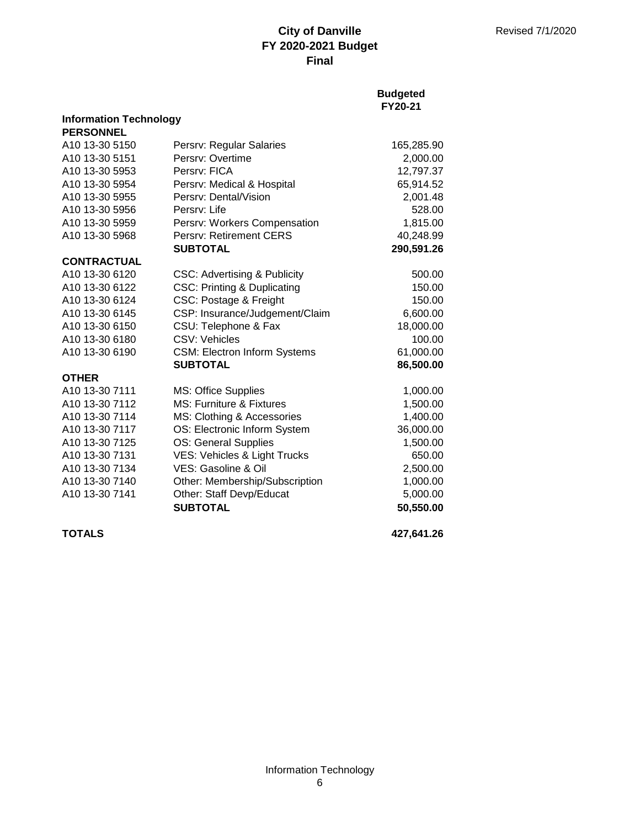### **Budgeted FY20-21**

| <b>Information Technology</b> |                                         |            |
|-------------------------------|-----------------------------------------|------------|
| <b>PERSONNEL</b>              |                                         |            |
| A10 13-30 5150                | Persrv: Regular Salaries                | 165,285.90 |
| A10 13-30 5151                | Persrv: Overtime                        | 2,000.00   |
| A10 13-30 5953                | Persry: FICA                            | 12,797.37  |
| A10 13-30 5954                | Persrv: Medical & Hospital              | 65,914.52  |
| A10 13-30 5955                | Persry: Dental/Vision                   | 2,001.48   |
| A10 13-30 5956                | Persry: Life                            | 528.00     |
| A10 13-30 5959                | Persrv: Workers Compensation            | 1,815.00   |
| A10 13-30 5968                | <b>Persry: Retirement CERS</b>          | 40,248.99  |
|                               | <b>SUBTOTAL</b>                         | 290,591.26 |
| <b>CONTRACTUAL</b>            |                                         |            |
| A10 13-30 6120                | <b>CSC: Advertising &amp; Publicity</b> | 500.00     |
| A10 13-30 6122                | <b>CSC: Printing &amp; Duplicating</b>  | 150.00     |
| A10 13-30 6124                | CSC: Postage & Freight                  | 150.00     |
| A10 13-30 6145                | CSP: Insurance/Judgement/Claim          | 6,600.00   |
| A10 13-30 6150                | CSU: Telephone & Fax                    | 18,000.00  |
| A10 13-30 6180                | CSV: Vehicles                           | 100.00     |
| A10 13-30 6190                | <b>CSM: Electron Inform Systems</b>     | 61,000.00  |
|                               | <b>SUBTOTAL</b>                         | 86,500.00  |
| <b>OTHER</b>                  |                                         |            |
| A10 13-30 7111                | <b>MS: Office Supplies</b>              | 1,000.00   |
| A10 13-30 7112                | <b>MS: Furniture &amp; Fixtures</b>     | 1,500.00   |
| A10 13-30 7114                | MS: Clothing & Accessories              | 1,400.00   |
| A10 13-30 7117                | OS: Electronic Inform System            | 36,000.00  |
| A10 13-30 7125                | OS: General Supplies                    | 1,500.00   |
| A10 13-30 7131                | VES: Vehicles & Light Trucks            | 650.00     |
| A10 13-30 7134                | VES: Gasoline & Oil                     | 2,500.00   |
| A10 13-30 7140                | Other: Membership/Subscription          | 1,000.00   |
| A10 13-30 7141                | Other: Staff Devp/Educat                | 5,000.00   |
|                               | <b>SUBTOTAL</b>                         | 50,550.00  |
|                               |                                         |            |

**TOTALS 427,641.26**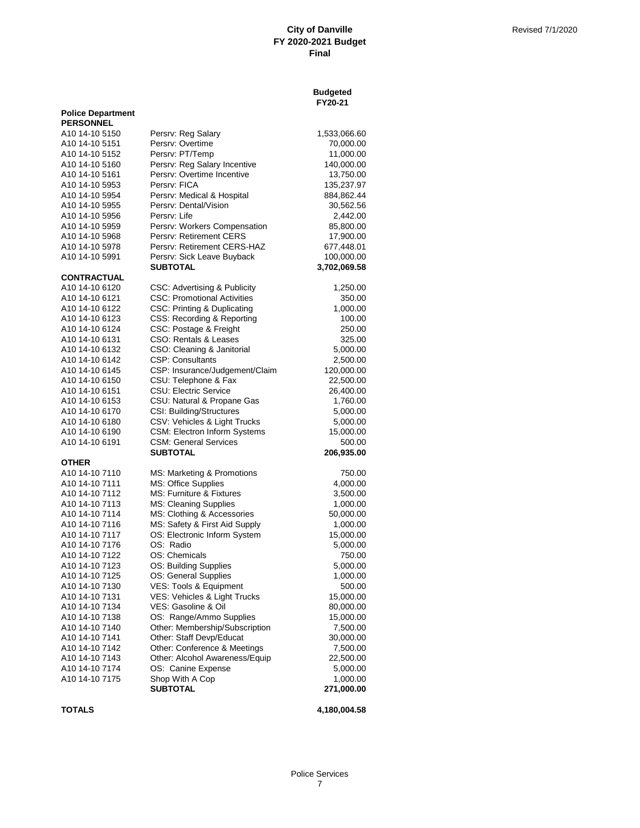### **Budgeted FY20-21**

| <b>Police Department</b><br><b>PERSONNEL</b> |                                    |              |
|----------------------------------------------|------------------------------------|--------------|
| A10 14-10 5150                               | Persrv: Reg Salary                 | 1,533,066.60 |
| A10 14-10 5151                               | Persry: Overtime                   | 70,000.00    |
| A10 14-10 5152                               | Persrv: PT/Temp                    | 11,000.00    |
| A10 14-10 5160                               | Persrv: Reg Salary Incentive       | 140,000.00   |
| A10 14-10 5161                               | Persrv: Overtime Incentive         | 13,750.00    |
| A10 14-10 5953                               | Persrv: FICA                       | 135,237.97   |
| A10 14-10 5954                               | Persrv: Medical & Hospital         | 884,862.44   |
| A10 14-10 5955                               | Persry: Dental/Vision              | 30,562.56    |
| A10 14-10 5956                               | Persrv: Life                       | 2,442.00     |
| A10 14-10 5959                               | Persrv: Workers Compensation       | 85,800.00    |
| A10 14-10 5968                               | Persrv: Retirement CERS            | 17,900.00    |
| A10 14-10 5978                               | Persry: Retirement CERS-HAZ        | 677,448.01   |
| A10 14-10 5991                               | Persrv: Sick Leave Buyback         | 100,000.00   |
|                                              | <b>SUBTOTAL</b>                    | 3,702,069.58 |
| <b>CONTRACTUAL</b>                           |                                    |              |
| A10 14-10 6120                               | CSC: Advertising & Publicity       | 1,250.00     |
| A10 14-10 6121                               | <b>CSC: Promotional Activities</b> | 350.00       |
| A10 14-10 6122                               | CSC: Printing & Duplicating        | 1,000.00     |
| A10 14-10 6123                               | CSS: Recording & Reporting         | 100.00       |
| A10 14-10 6124                               | CSC: Postage & Freight             | 250.00       |
| A10 14-10 6131                               | CSO: Rentals & Leases              | 325.00       |
| A10 14-10 6132                               | CSO: Cleaning & Janitorial         | 5,000.00     |
| A10 14-10 6142                               | <b>CSP: Consultants</b>            | 2,500.00     |
| A10 14-10 6145                               | CSP: Insurance/Judgement/Claim     | 120,000.00   |
| A10 14-10 6150                               | CSU: Telephone & Fax               | 22,500.00    |
| A10 14-10 6151                               | <b>CSU: Electric Service</b>       | 26,400.00    |
| A10 14-10 6153                               | CSU: Natural & Propane Gas         | 1,760.00     |
| A10 14-10 6170                               | CSI: Building/Structures           | 5,000.00     |
| A10 14-10 6180                               | CSV: Vehicles & Light Trucks       | 5,000.00     |
| A10 14-10 6190                               | CSM: Electron Inform Systems       | 15,000.00    |
| A10 14-10 6191                               | <b>CSM: General Services</b>       | 500.00       |
|                                              | SUBTOTAL                           | 206,935.00   |
| OTHER                                        |                                    |              |
| A10 14-10 7110                               | MS: Marketing & Promotions         | 750.00       |
| A10 14-10 7111                               | MS: Office Supplies                | 4,000.00     |
| A10 14-10 7112                               | MS: Furniture & Fixtures           | 3,500.00     |
| A10 14-10 7113                               | <b>MS: Cleaning Supplies</b>       | 1,000.00     |
| A10 14-10 7114                               | MS: Clothing & Accessories         | 50,000.00    |
| A10 14-10 7116                               | MS: Safety & First Aid Supply      | 1,000.00     |
| A10 14-10 7117                               | OS: Electronic Inform System       | 15,000.00    |
| A10 14-10 7176                               | OS: Radio                          | 5,000.00     |
| A10 14-10 7122                               | OS: Chemicals                      | 750.00       |
| A10 14-10 7123                               | OS: Building Supplies              | 5,000.00     |
| A10 14-10 7125                               | OS: General Supplies               | 1,000.00     |
| A10 14-10 7130                               | VES: Tools & Equipment             | 500.00       |
| A10 14-10 7131                               | VES: Vehicles & Light Trucks       | 15,000.00    |
| A10 14-10 7134                               | VES: Gasoline & Oil                | 80,000.00    |
| A10 14-10 7138                               | OS: Range/Ammo Supplies            | 15,000.00    |
| A10 14-10 7140                               | Other: Membership/Subscription     | 7,500.00     |
| A10 14-10 7141                               | Other: Staff Devp/Educat           | 30,000.00    |
| A10 14-10 7142                               | Other: Conference & Meetings       | 7,500.00     |
| A10 14-10 7143                               | Other: Alcohol Awareness/Equip     | 22,500.00    |
| A10 14-10 7174                               | OS: Canine Expense                 | 5,000.00     |
| A10 14-10 7175                               | Shop With A Cop                    | 1,000.00     |
|                                              | <b>SUBTOTAL</b>                    | 271,000.00   |
|                                              |                                    |              |

**TOTALS 4,180,004.58**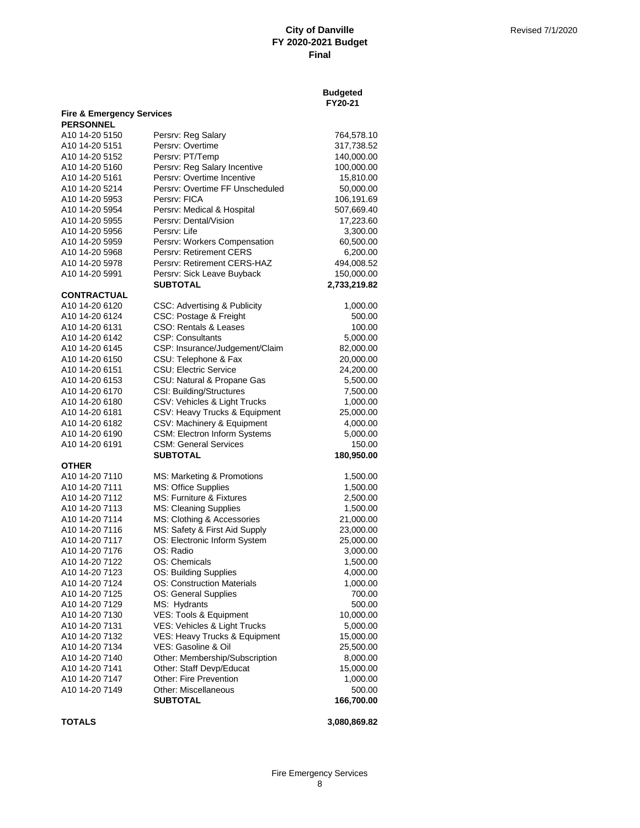| <b>Budgeted</b> |
|-----------------|
| FY20-21         |

| <b>Fire &amp; Emergency Services</b><br><b>PERSONNEL</b> |                                                 |                      |
|----------------------------------------------------------|-------------------------------------------------|----------------------|
| A10 14-20 5150                                           | Persrv: Reg Salary                              | 764,578.10           |
| A10 14-20 5151                                           | Persrv: Overtime                                | 317,738.52           |
| A10 14-20 5152                                           | Persrv: PT/Temp                                 | 140,000.00           |
| A10 14-20 5160                                           | Persrv: Reg Salary Incentive                    | 100,000.00           |
| A10 14-20 5161                                           | Persry: Overtime Incentive                      | 15,810.00            |
| A10 14-20 5214                                           | Persrv: Overtime FF Unscheduled                 | 50,000.00            |
| A10 14-20 5953                                           | Persrv: FICA                                    | 106,191.69           |
| A10 14-20 5954                                           | Persrv: Medical & Hospital                      | 507,669.40           |
| A10 14-20 5955                                           | Persry: Dental/Vision                           | 17,223.60            |
| A10 14-20 5956                                           | Persrv: Life                                    | 3,300.00             |
| A10 14-20 5959                                           | Persrv: Workers Compensation                    | 60,500.00            |
| A10 14-20 5968                                           | Persry: Retirement CERS                         | 6,200.00             |
| A10 14-20 5978                                           | Persrv: Retirement CERS-HAZ                     | 494,008.52           |
| A10 14-20 5991                                           | Persrv: Sick Leave Buyback                      | 150,000.00           |
|                                                          | <b>SUBTOTAL</b>                                 | 2,733,219.82         |
| <b>CONTRACTUAL</b>                                       |                                                 |                      |
| A10 14-20 6120                                           | CSC: Advertising & Publicity                    | 1,000.00             |
| A10 14-20 6124                                           | CSC: Postage & Freight                          | 500.00               |
| A10 14-20 6131                                           | CSO: Rentals & Leases                           | 100.00               |
| A10 14-20 6142                                           | <b>CSP: Consultants</b>                         | 5,000.00             |
| A10 14-20 6145                                           | CSP: Insurance/Judgement/Claim                  | 82,000.00            |
| A10 14-20 6150                                           | CSU: Telephone & Fax                            | 20,000.00            |
| A10 14-20 6151                                           | <b>CSU: Electric Service</b>                    | 24,200.00            |
| A10 14-20 6153                                           | CSU: Natural & Propane Gas                      | 5,500.00             |
| A10 14-20 6170                                           | <b>CSI: Building/Structures</b>                 | 7,500.00             |
| A10 14-20 6180                                           | CSV: Vehicles & Light Trucks                    | 1,000.00             |
| A10 14-20 6181                                           | CSV: Heavy Trucks & Equipment                   | 25,000.00            |
| A10 14-20 6182                                           | CSV: Machinery & Equipment                      | 4,000.00             |
| A10 14-20 6190                                           | CSM: Electron Inform Systems                    | 5,000.00             |
| A10 14-20 6191                                           | <b>CSM: General Services</b><br><b>SUBTOTAL</b> | 150.00<br>180,950.00 |
| <b>OTHER</b>                                             |                                                 |                      |
| A10 14-20 7110                                           | MS: Marketing & Promotions                      | 1,500.00             |
| A10 14-20 7111                                           | MS: Office Supplies                             | 1,500.00             |
| A10 14-20 7112                                           | MS: Furniture & Fixtures                        | 2,500.00             |
| A10 14-20 7113                                           | <b>MS: Cleaning Supplies</b>                    | 1,500.00             |
| A10 14-20 7114                                           | MS: Clothing & Accessories                      | 21,000.00            |
| A10 14-20 7116                                           | MS: Safety & First Aid Supply                   | 23,000.00            |
| A10 14-20 7117                                           | OS: Electronic Inform System                    | 25,000.00            |
| A10 14-20 7176                                           | OS: Radio                                       | 3,000.00             |
| A10 14-20 7122                                           | OS: Chemicals                                   | 1,500.00             |
| A10 14-20 7123                                           | OS: Building Supplies                           | 4,000.00             |
| A10 14-20 7124                                           | <b>OS: Construction Materials</b>               | 1,000.00             |
| A10 14-20 7125                                           | OS: General Supplies                            | 700.00               |
| A10 14-20 7129                                           | MS: Hydrants                                    | 500.00               |
| A10 14-20 7130                                           | VES: Tools & Equipment                          | 10,000.00            |
| A10 14-20 7131                                           | VES: Vehicles & Light Trucks                    | 5,000.00             |
| A10 14-20 7132                                           | VES: Heavy Trucks & Equipment                   | 15,000.00            |
| A10 14-20 7134                                           | VES: Gasoline & Oil                             | 25,500.00            |
| A10 14-20 7140                                           | Other: Membership/Subscription                  | 8,000.00             |
| A10 14-20 7141                                           | Other: Staff Devp/Educat                        | 15,000.00            |
| A10 14-20 7147                                           | Other: Fire Prevention                          | 1,000.00             |
| A10 14-20 7149                                           | Other: Miscellaneous                            | 500.00               |
|                                                          | <b>SUBTOTAL</b>                                 | 166,700.00           |

**TOTALS 3,080,869.82**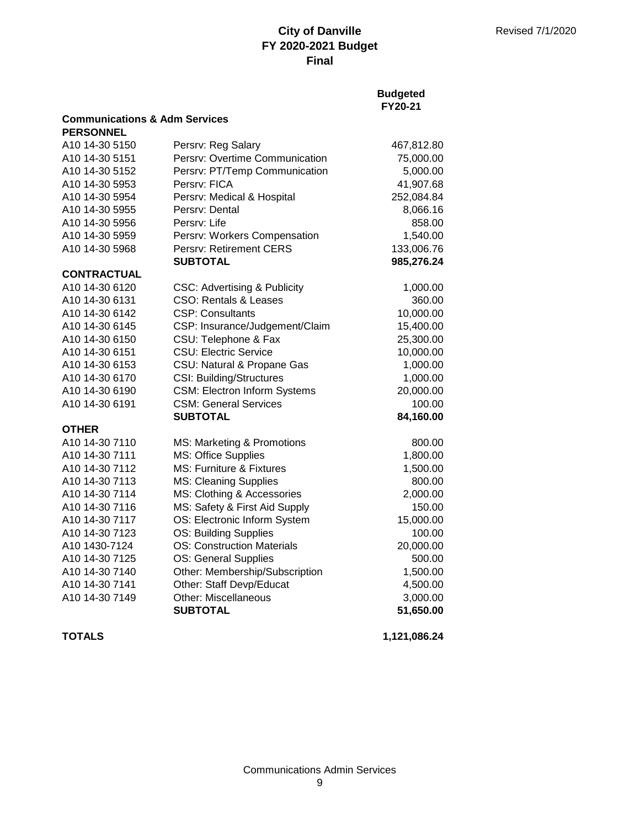### **Budgeted FY20-21**

### **Communications & Adm Services PERSONNEL**

| PERSONNEL          |                                         |            |
|--------------------|-----------------------------------------|------------|
| A10 14-30 5150     | Persrv: Reg Salary                      | 467,812.80 |
| A10 14-30 5151     | Persrv: Overtime Communication          | 75,000.00  |
| A10 14-30 5152     | Persrv: PT/Temp Communication           | 5,000.00   |
| A10 14-30 5953     | Persrv: FICA                            | 41,907.68  |
| A10 14-30 5954     | Persrv: Medical & Hospital              | 252,084.84 |
| A10 14-30 5955     | Persry: Dental                          | 8,066.16   |
| A10 14-30 5956     | Persrv: Life                            | 858.00     |
| A10 14-30 5959     | Persrv: Workers Compensation            | 1,540.00   |
| A10 14-30 5968     | Persrv: Retirement CERS                 | 133,006.76 |
|                    | <b>SUBTOTAL</b>                         | 985,276.24 |
| <b>CONTRACTUAL</b> |                                         |            |
| A10 14-30 6120     | <b>CSC: Advertising &amp; Publicity</b> | 1,000.00   |
| A10 14-30 6131     | <b>CSO: Rentals &amp; Leases</b>        | 360.00     |
| A10 14-30 6142     | <b>CSP: Consultants</b>                 | 10,000.00  |
| A10 14-30 6145     | CSP: Insurance/Judgement/Claim          | 15,400.00  |
| A10 14-30 6150     | CSU: Telephone & Fax                    | 25,300.00  |
| A10 14-30 6151     | <b>CSU: Electric Service</b>            | 10,000.00  |
| A10 14-30 6153     | CSU: Natural & Propane Gas              | 1,000.00   |
| A10 14-30 6170     | <b>CSI: Building/Structures</b>         | 1,000.00   |
| A10 14-30 6190     | <b>CSM: Electron Inform Systems</b>     | 20,000.00  |
| A10 14-30 6191     | <b>CSM: General Services</b>            | 100.00     |
|                    | <b>SUBTOTAL</b>                         | 84,160.00  |
| <b>OTHER</b>       |                                         |            |
| A10 14-30 7110     | MS: Marketing & Promotions              | 800.00     |
| A10 14-30 7111     | MS: Office Supplies                     | 1,800.00   |
| A10 14-30 7112     | MS: Furniture & Fixtures                | 1,500.00   |
| A10 14-30 7113     | <b>MS: Cleaning Supplies</b>            | 800.00     |
| A10 14-30 7114     | MS: Clothing & Accessories              | 2,000.00   |
| A10 14-30 7116     | MS: Safety & First Aid Supply           | 150.00     |
| A10 14-30 7117     | OS: Electronic Inform System            | 15,000.00  |
| A10 14-30 7123     | OS: Building Supplies                   | 100.00     |
| A10 1430-7124      | <b>OS: Construction Materials</b>       | 20,000.00  |
| A10 14-30 7125     | OS: General Supplies                    | 500.00     |
| A10 14-30 7140     | Other: Membership/Subscription          | 1,500.00   |
| A10 14-30 7141     | Other: Staff Devp/Educat                | 4,500.00   |
| A10 14-30 7149     | Other: Miscellaneous                    | 3,000.00   |
|                    | <b>SUBTOTAL</b>                         | 51,650.00  |
|                    |                                         |            |

**TOTALS 1,121,086.24**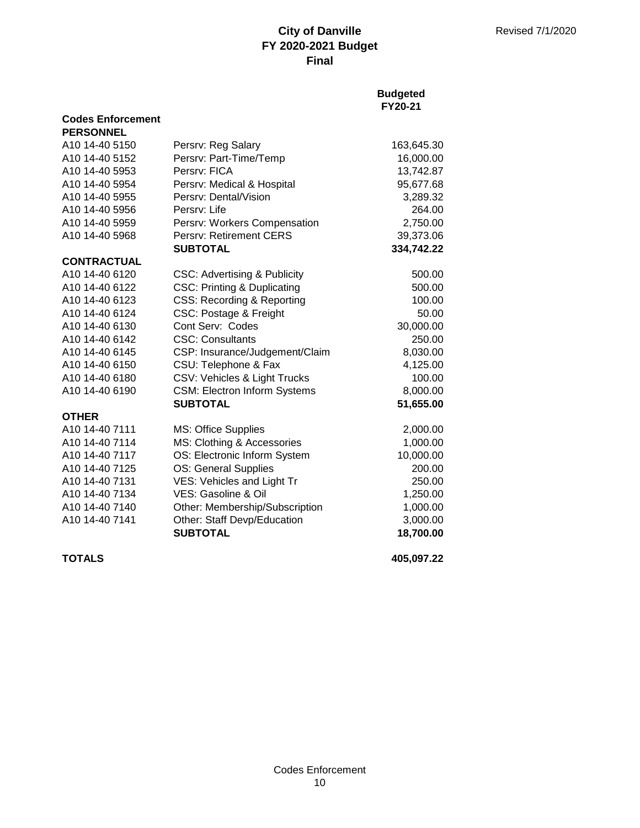## **Budgeted FY20-21**

| <b>PERSONNEL</b>   |                                         |            |
|--------------------|-----------------------------------------|------------|
| A10 14-40 5150     | Persrv: Reg Salary                      | 163,645.30 |
| A10 14-40 5152     | Persrv: Part-Time/Temp                  | 16,000.00  |
| A10 14-40 5953     | Persry: FICA                            | 13,742.87  |
| A10 14-40 5954     | Persrv: Medical & Hospital              | 95,677.68  |
| A10 14-40 5955     | Persry: Dental/Vision                   | 3,289.32   |
| A10 14-40 5956     | Persry: Life                            | 264.00     |
| A10 14-40 5959     | Persrv: Workers Compensation            | 2,750.00   |
| A10 14-40 5968     | <b>Persry: Retirement CERS</b>          | 39,373.06  |
|                    | <b>SUBTOTAL</b>                         | 334,742.22 |
| <b>CONTRACTUAL</b> |                                         |            |
| A10 14-40 6120     | <b>CSC: Advertising &amp; Publicity</b> | 500.00     |
| A10 14-40 6122     | <b>CSC: Printing &amp; Duplicating</b>  | 500.00     |
| A10 14-40 6123     | CSS: Recording & Reporting              | 100.00     |
| A10 14-40 6124     | CSC: Postage & Freight                  | 50.00      |
| A10 14-40 6130     | Cont Serv: Codes                        | 30,000.00  |
| A10 14-40 6142     | <b>CSC: Consultants</b>                 | 250.00     |
| A10 14-40 6145     | CSP: Insurance/Judgement/Claim          | 8,030.00   |
| A10 14-40 6150     | CSU: Telephone & Fax                    | 4,125.00   |
| A10 14-40 6180     | CSV: Vehicles & Light Trucks            | 100.00     |
| A10 14-40 6190     | <b>CSM: Electron Inform Systems</b>     | 8,000.00   |
|                    | <b>SUBTOTAL</b>                         | 51,655.00  |
| <b>OTHER</b>       |                                         |            |
| A10 14-40 7111     | <b>MS: Office Supplies</b>              | 2,000.00   |
| A10 14-40 7114     | MS: Clothing & Accessories              | 1,000.00   |
| A10 14-40 7117     | OS: Electronic Inform System            | 10,000.00  |
| A10 14-40 7125     | OS: General Supplies                    | 200.00     |
| A10 14-40 7131     | <b>VES: Vehicles and Light Tr</b>       | 250.00     |
| A10 14-40 7134     | VES: Gasoline & Oil                     | 1,250.00   |
| A10 14-40 7140     | Other: Membership/Subscription          | 1,000.00   |
| A10 14-40 7141     | Other: Staff Devp/Education             | 3,000.00   |
|                    | <b>SUBTOTAL</b>                         | 18,700.00  |

**Codes Enforcement**

**TOTALS 405,097.22**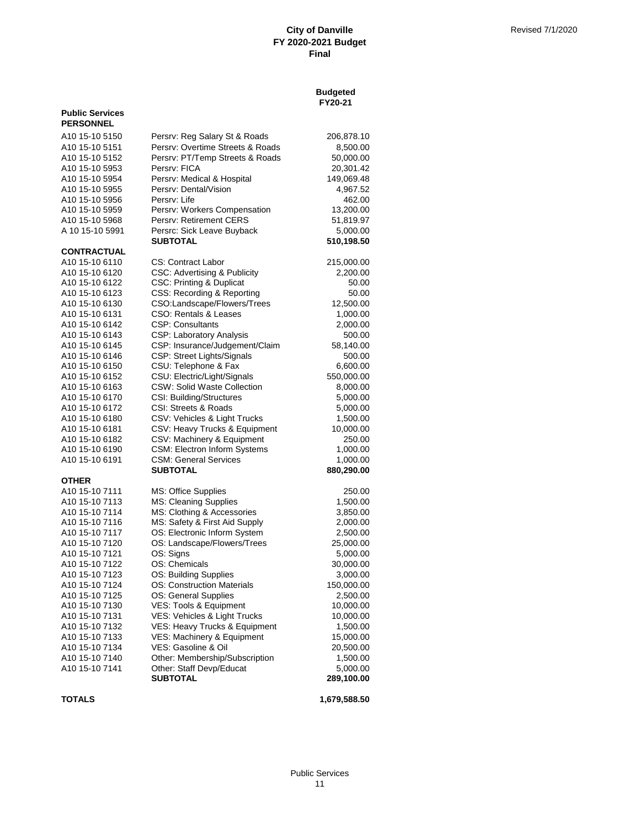| <b>Budgeted</b> |
|-----------------|
| FY20-21         |

| <b>Public Services</b><br><b>PERSONNEL</b> |                                                      |                        |
|--------------------------------------------|------------------------------------------------------|------------------------|
| A <sub>10</sub> 15-10 5150                 | Persrv: Reg Salary St & Roads                        | 206,878.10             |
| A10 15-10 5151                             | Persrv: Overtime Streets & Roads                     | 8,500.00               |
| A10 15-10 5152                             | Persrv: PT/Temp Streets & Roads                      | 50,000.00              |
| A <sub>10</sub> 15-10 5953                 | Persrv: FICA                                         | 20,301.42              |
| A10 15-10 5954                             | Persrv: Medical & Hospital                           | 149,069.48             |
| A10 15-10 5955                             | Persrv: Dental/Vision                                | 4,967.52               |
| A <sub>10</sub> 15-10 5956                 | Persrv: Life                                         | 462.00                 |
| A10 15-10 5959                             | Persrv: Workers Compensation                         | 13,200.00              |
| A10 15-10 5968                             | Persry: Retirement CERS                              | 51,819.97              |
| A 10 15-10 5991                            | Persrc: Sick Leave Buyback<br><b>SUBTOTAL</b>        | 5,000.00<br>510,198.50 |
| <b>CONTRACTUAL</b>                         |                                                      |                        |
| A10 15-10 6110                             | CS: Contract Labor                                   | 215,000.00             |
| A <sub>10</sub> 15-10 6120                 | CSC: Advertising & Publicity                         | 2,200.00               |
| A10 15-10 6122                             | <b>CSC: Printing &amp; Duplicat</b>                  | 50.00                  |
| A10 15-10 6123                             | CSS: Recording & Reporting                           | 50.00                  |
| A10 15-10 6130                             | CSO:Landscape/Flowers/Trees                          | 12,500.00              |
| A10 15-10 6131                             | CSO: Rentals & Leases                                | 1,000.00               |
| A10 15-10 6142                             | <b>CSP: Consultants</b>                              | 2,000.00               |
| A10 15-10 6143                             | CSP: Laboratory Analysis                             | 500.00                 |
| A <sub>10</sub> 15-10 6145                 | CSP: Insurance/Judgement/Claim                       | 58,140.00              |
| A10 15-10 6146                             | CSP: Street Lights/Signals                           | 500.00                 |
| A10 15-10 6150                             | CSU: Telephone & Fax                                 | 6,600.00               |
| A10 15-10 6152                             | CSU: Electric/Light/Signals                          | 550,000.00             |
| A <sub>10</sub> 15-10 6163                 | <b>CSW: Solid Waste Collection</b>                   | 8,000.00               |
| A <sub>10</sub> 15-10 6170                 | <b>CSI: Building/Structures</b>                      | 5,000.00               |
| A10 15-10 6172                             | CSI: Streets & Roads<br>CSV: Vehicles & Light Trucks | 5,000.00<br>1,500.00   |
| A10 15-10 6180<br>A10 15-10 6181           | CSV: Heavy Trucks & Equipment                        | 10,000.00              |
| A <sub>10</sub> 15-10 6182                 | CSV: Machinery & Equipment                           | 250.00                 |
| A10 15-10 6190                             | CSM: Electron Inform Systems                         | 1,000.00               |
| A10 15-10 6191                             | <b>CSM: General Services</b>                         | 1,000.00               |
|                                            | <b>SUBTOTAL</b>                                      | 880,290.00             |
| <b>OTHER</b>                               |                                                      |                        |
| A10 15-10 7111                             | MS: Office Supplies                                  | 250.00                 |
| A10 15-10 7113                             | MS: Cleaning Supplies                                | 1,500.00               |
| A10 15-10 7114                             | MS: Clothing & Accessories                           | 3,850.00               |
| A10 15-10 7116                             | MS: Safety & First Aid Supply                        | 2,000.00               |
| A10 15-10 7117<br>A10 15-10 7120           | OS: Electronic Inform System                         | 2,500.00               |
| A <sub>10</sub> 15-10 7121                 | OS: Landscape/Flowers/Trees                          | 25,000.00<br>5,000.00  |
| A10 15-10 7122                             | OS: Signs<br>OS: Chemicals                           | 30,000.00              |
| A10 15-10 7123                             | OS: Building Supplies                                | 3,000.00               |
| A10 15-10 7124                             | <b>OS: Construction Materials</b>                    | 150,000.00             |
| A10 15-10 7125                             | OS: General Supplies                                 | 2,500.00               |
| A10 15-10 7130                             | VES: Tools & Equipment                               | 10,000.00              |
| A10 15-10 7131                             | VES: Vehicles & Light Trucks                         | 10,000.00              |
| A10 15-10 7132                             | VES: Heavy Trucks & Equipment                        | 1,500.00               |
| A10 15-10 7133                             | VES: Machinery & Equipment                           | 15,000.00              |
| A10 15-10 7134                             | VES: Gasoline & Oil                                  | 20,500.00              |
| A10 15-10 7140                             | Other: Membership/Subscription                       | 1,500.00               |
| A10 15-10 7141                             | Other: Staff Devp/Educat                             | 5,000.00               |
|                                            | <b>SUBTOTAL</b>                                      | 289,100.00             |
|                                            |                                                      |                        |

**TOTALS 1,679,588.50**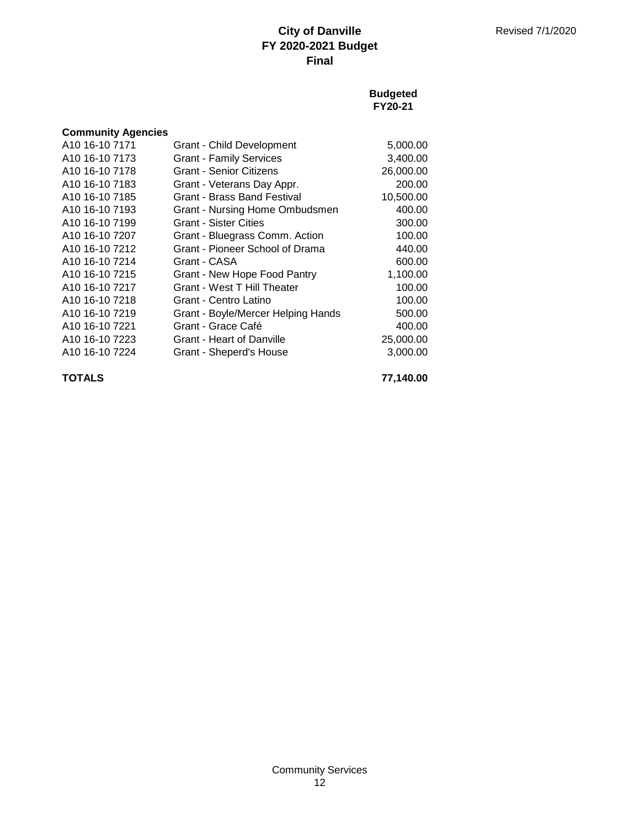### **Budgeted FY20-21**

| <b>Community Agencies</b>  |                                    |           |
|----------------------------|------------------------------------|-----------|
| A <sub>10</sub> 16-10 7171 | Grant - Child Development          | 5,000.00  |
| A <sub>10</sub> 16-10 7173 | <b>Grant - Family Services</b>     | 3,400.00  |
| A <sub>10</sub> 16-10 7178 | Grant - Senior Citizens            | 26,000.00 |
| A <sub>10</sub> 16-10 7183 | Grant - Veterans Day Appr.         | 200.00    |
| A <sub>10</sub> 16-10 7185 | Grant - Brass Band Festival        | 10,500.00 |
| A <sub>10</sub> 16-10 7193 | Grant - Nursing Home Ombudsmen     | 400.00    |
| A <sub>10</sub> 16-10 7199 | <b>Grant - Sister Cities</b>       | 300.00    |
| A <sub>10</sub> 16-10 7207 | Grant - Bluegrass Comm. Action     | 100.00    |
| A <sub>10</sub> 16-10 7212 | Grant - Pioneer School of Drama    | 440.00    |
| A <sub>10</sub> 16-10 7214 | Grant - CASA                       | 600.00    |
| A <sub>10</sub> 16-10 7215 | Grant - New Hope Food Pantry       | 1,100.00  |
| A <sub>10</sub> 16-10 7217 | Grant - West T Hill Theater        | 100.00    |
| A <sub>10</sub> 16-10 7218 | Grant - Centro Latino              | 100.00    |
| A <sub>10</sub> 16-10 7219 | Grant - Boyle/Mercer Helping Hands | 500.00    |
| A <sub>10</sub> 16-10 7221 | Grant - Grace Café                 | 400.00    |
| A <sub>10</sub> 16-10 7223 | Grant - Heart of Danville          | 25,000.00 |
| A10 16-10 7224             | Grant - Sheperd's House            | 3,000.00  |

**TOTALS 77,140.00**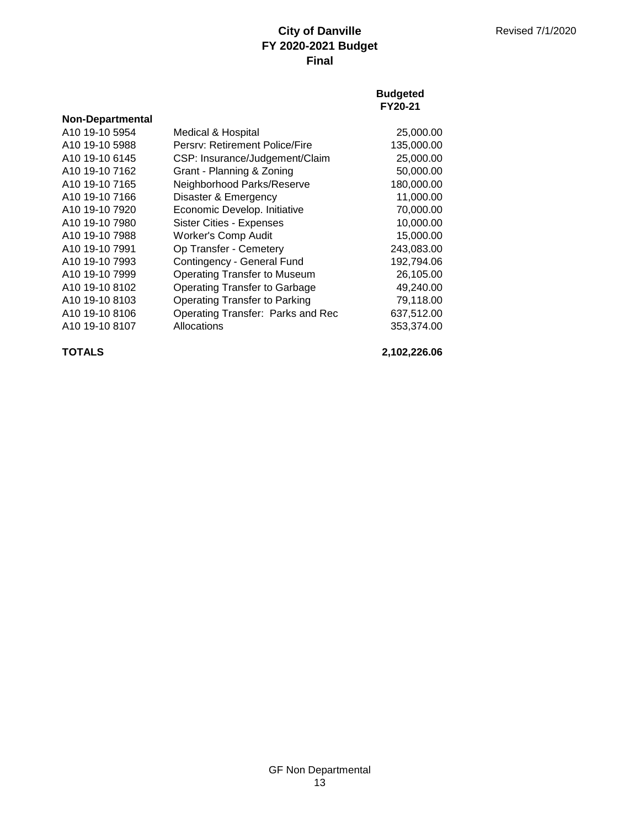### **Budgeted FY20-21**

| <b>Non-Departmental</b>    |                                      |            |
|----------------------------|--------------------------------------|------------|
| A10 19-10 5954             | Medical & Hospital                   | 25,000.00  |
| A <sub>10</sub> 19-10 5988 | Persry: Retirement Police/Fire       | 135,000.00 |
| A <sub>10</sub> 19-10 6145 | CSP: Insurance/Judgement/Claim       | 25,000.00  |
| A <sub>10</sub> 19-10 7162 | Grant - Planning & Zoning            | 50,000.00  |
| A <sub>10</sub> 19-10 7165 | Neighborhood Parks/Reserve           | 180,000.00 |
| A <sub>10</sub> 19-10 7166 | Disaster & Emergency                 | 11,000.00  |
| A <sub>10</sub> 19-10 7920 | Economic Develop. Initiative         | 70,000.00  |
| A <sub>10</sub> 19-10 7980 | Sister Cities - Expenses             | 10,000.00  |
| A10 19-10 7988             | <b>Worker's Comp Audit</b>           | 15,000.00  |
| A <sub>10</sub> 19-10 7991 | Op Transfer - Cemetery               | 243,083.00 |
| A <sub>10</sub> 19-10 7993 | Contingency - General Fund           | 192,794.06 |
| A10 19-10 7999             | <b>Operating Transfer to Museum</b>  | 26,105.00  |
| A <sub>10</sub> 19-10 8102 | <b>Operating Transfer to Garbage</b> | 49,240.00  |
| A <sub>10</sub> 19-10 8103 | <b>Operating Transfer to Parking</b> | 79,118.00  |
| A <sub>10</sub> 19-10 8106 | Operating Transfer: Parks and Rec    | 637,512.00 |
| A <sub>10</sub> 19-10 8107 | Allocations                          | 353,374.00 |

**TOTALS 2,102,226.06**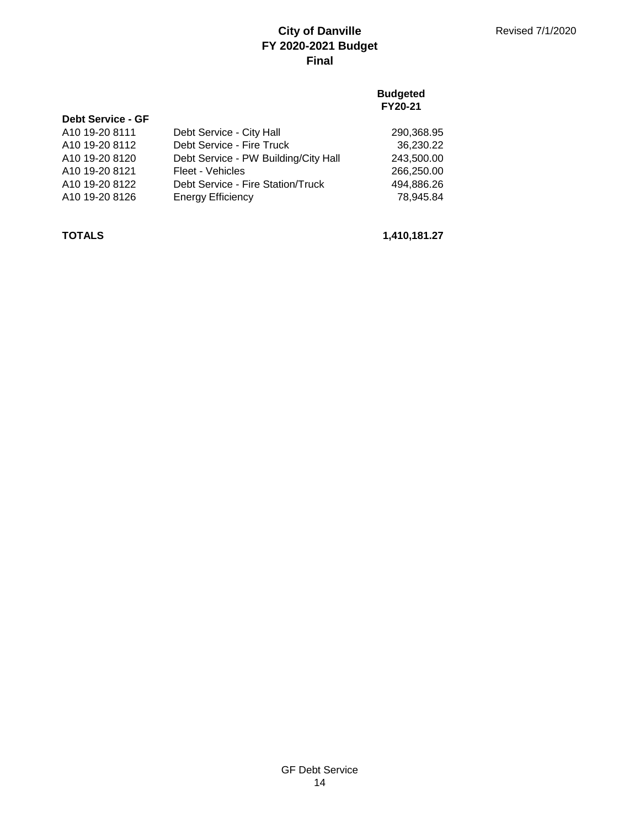### **Budgeted FY20-21**

| <b>Debt Service - GF</b> |                                      |            |
|--------------------------|--------------------------------------|------------|
| A10 19-20 8111           | Debt Service - City Hall             | 290,368.95 |
| A10 19-20 8112           | Debt Service - Fire Truck            | 36,230.22  |
| A10 19-20 8120           | Debt Service - PW Building/City Hall | 243,500.00 |
| A10 19-20 8121           | Fleet - Vehicles                     | 266,250.00 |
| A10 19-20 8122           | Debt Service - Fire Station/Truck    | 494.886.26 |
| A10 19-20 8126           | <b>Energy Efficiency</b>             | 78.945.84  |

**TOTALS 1,410,181.27**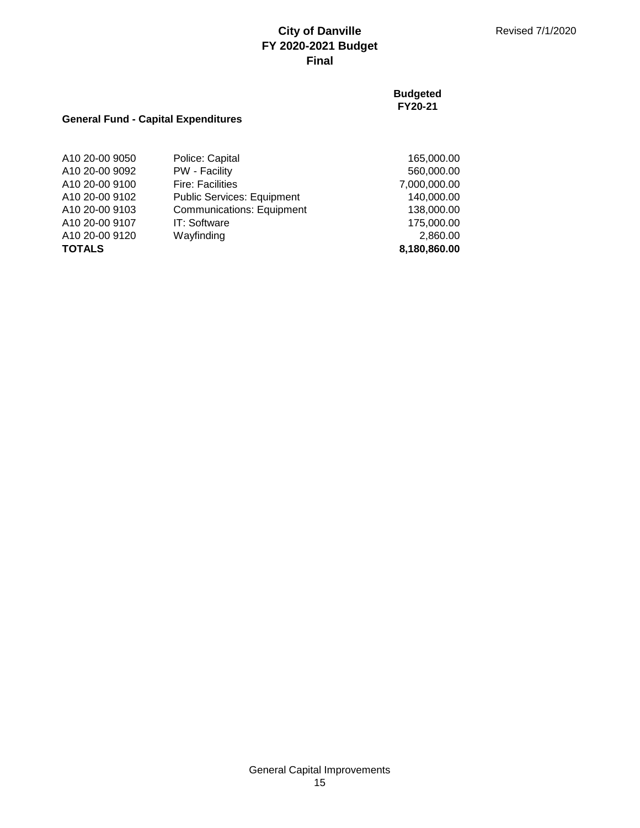**Budgeted FY20-21**

## **General Fund - Capital Expenditures**

| A10 20-00 9050 | Police: Capital                   | 165,000.00   |
|----------------|-----------------------------------|--------------|
| A10 20-00 9092 | PW - Facility                     | 560,000.00   |
| A10 20-00 9100 | <b>Fire: Facilities</b>           | 7,000,000.00 |
| A10 20-00 9102 | <b>Public Services: Equipment</b> | 140,000.00   |
| A10 20-00 9103 | <b>Communications: Equipment</b>  | 138,000.00   |
| A10 20-00 9107 | IT: Software                      | 175,000.00   |
| A10 20-00 9120 | Wayfinding                        | 2,860.00     |
| <b>TOTALS</b>  |                                   | 8,180,860.00 |

General Capital Improvements 15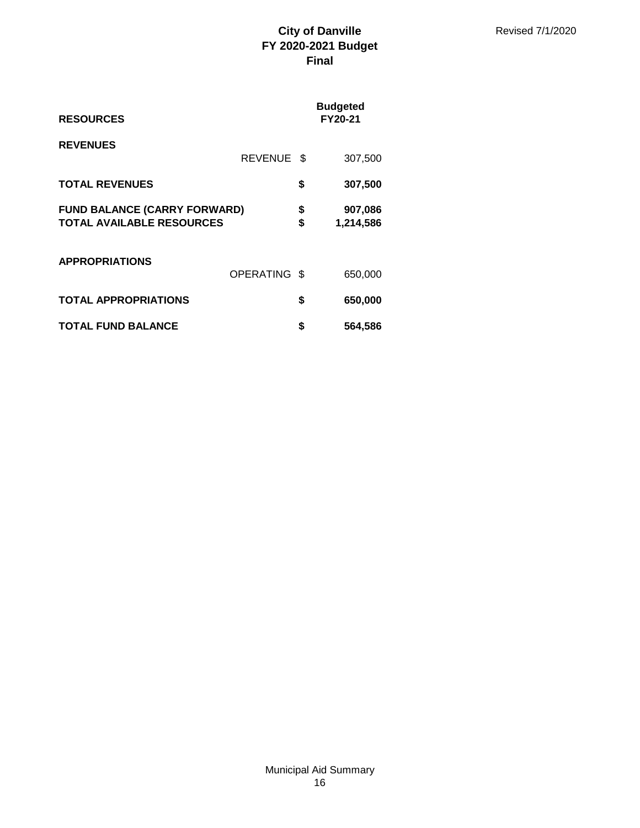| <b>RESOURCES</b>                                                        |                |          | <b>Budgeted</b><br><b>FY20-21</b> |
|-------------------------------------------------------------------------|----------------|----------|-----------------------------------|
| <b>REVENUES</b>                                                         | <b>REVENUE</b> | - \$     | 307,500                           |
| <b>TOTAL REVENUES</b>                                                   |                | \$       | 307,500                           |
| <b>FUND BALANCE (CARRY FORWARD)</b><br><b>TOTAL AVAILABLE RESOURCES</b> |                | \$<br>\$ | 907,086<br>1,214,586              |
| <b>APPROPRIATIONS</b>                                                   | OPERATING \$   |          | 650,000                           |
| <b>TOTAL APPROPRIATIONS</b>                                             |                | \$       | 650,000                           |
| <b>TOTAL FUND BALANCE</b>                                               |                | \$       | 564,586                           |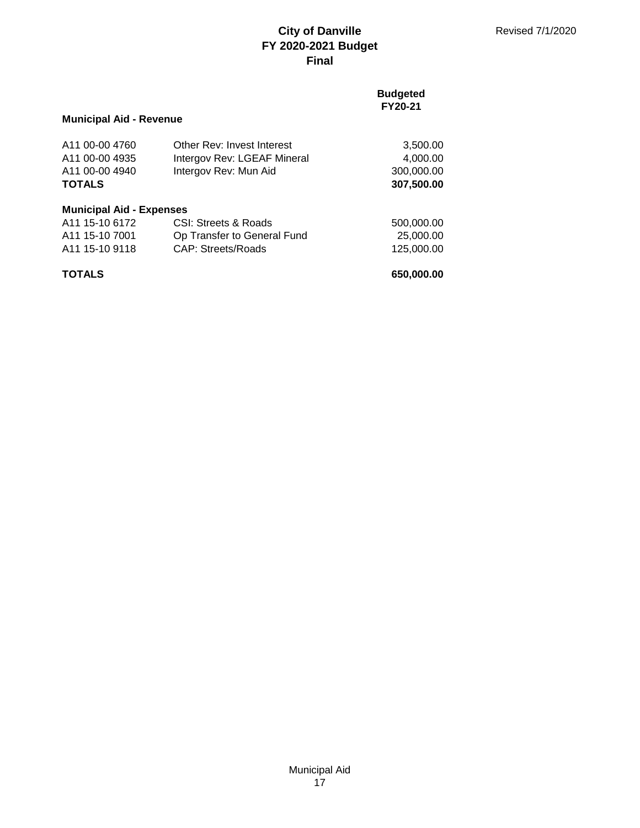### **Budgeted FY20-21**

## **Municipal Aid - Revenue**

| A <sub>11</sub> 00-00 4760<br>A <sub>11</sub> 00-00 4935<br>A11 00-00 4940<br><b>TOTALS</b> | Other Rev: Invest Interest<br>Intergov Rev: LGEAF Mineral<br>Intergov Rev: Mun Aid | 3,500.00<br>4,000.00<br>300,000.00<br>307,500.00 |
|---------------------------------------------------------------------------------------------|------------------------------------------------------------------------------------|--------------------------------------------------|
| <b>Municipal Aid - Expenses</b>                                                             |                                                                                    |                                                  |
| A <sub>11</sub> 15-10 6172                                                                  | CSI: Streets & Roads                                                               | 500,000.00                                       |
| A11 15-10 7001                                                                              | Op Transfer to General Fund                                                        | 25,000.00                                        |
| A <sub>11</sub> 15-10 9118                                                                  | <b>CAP: Streets/Roads</b>                                                          | 125,000.00                                       |
| <b>TOTALS</b>                                                                               |                                                                                    | 650,000.00                                       |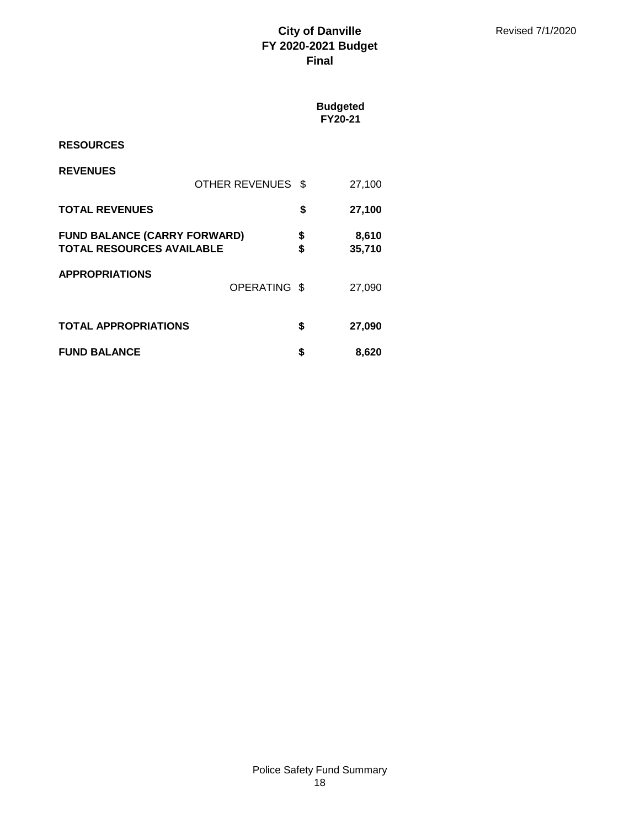|                                                                         |                   |          | <b>Budgeted</b><br>FY20-21 |
|-------------------------------------------------------------------------|-------------------|----------|----------------------------|
| <b>RESOURCES</b>                                                        |                   |          |                            |
| <b>REVENUES</b>                                                         | OTHER REVENUES \$ |          | 27,100                     |
| <b>TOTAL REVENUES</b>                                                   |                   | \$       | 27,100                     |
| <b>FUND BALANCE (CARRY FORWARD)</b><br><b>TOTAL RESOURCES AVAILABLE</b> |                   | \$<br>\$ | 8,610<br>35,710            |
| <b>APPROPRIATIONS</b>                                                   | OPERATING \$      |          | 27,090                     |
| <b>TOTAL APPROPRIATIONS</b>                                             |                   | \$       | 27,090                     |
| <b>FUND BALANCE</b>                                                     |                   | \$       | 8,620                      |

## Police Safety Fund Summary 18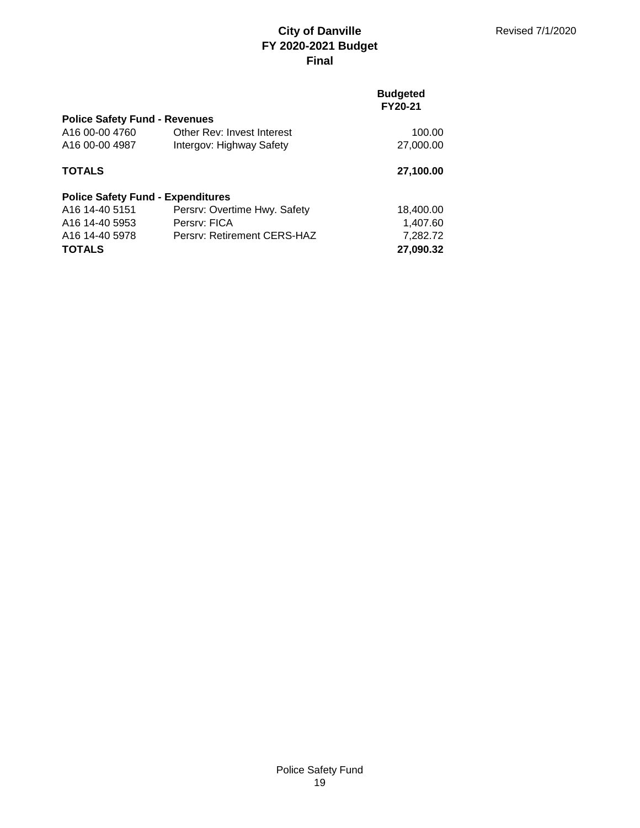### **Budgeted FY20-21**

| <b>Police Safety Fund - Revenues</b>     |                              |           |  |  |
|------------------------------------------|------------------------------|-----------|--|--|
| A16 00-00 4760                           | Other Rev: Invest Interest   | 100.00    |  |  |
| A16 00-00 4987                           | Intergov: Highway Safety     | 27,000.00 |  |  |
| <b>TOTALS</b>                            |                              | 27,100.00 |  |  |
| <b>Police Safety Fund - Expenditures</b> |                              |           |  |  |
| A16 14-40 5151                           | Persry: Overtime Hwy. Safety | 18,400.00 |  |  |
| A <sub>16</sub> 14-40 5953               | Persry: FICA                 | 1,407.60  |  |  |
| A <sub>16</sub> 14-40 5978               | Persry: Retirement CERS-HAZ  | 7,282.72  |  |  |
| <b>TOTALS</b>                            |                              | 27,090.32 |  |  |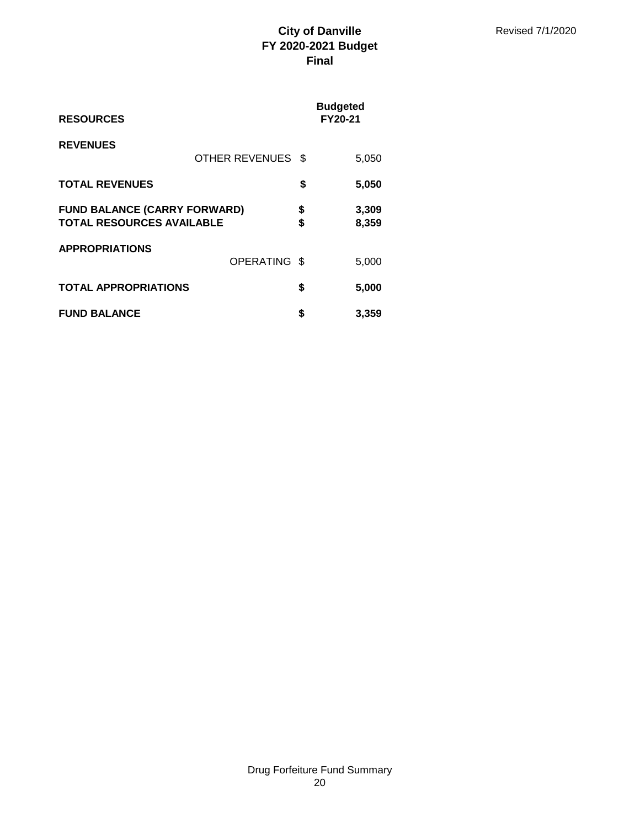| <b>RESOURCES</b>                                                        |                   |          | <b>Budgeted</b><br><b>FY20-21</b> |
|-------------------------------------------------------------------------|-------------------|----------|-----------------------------------|
| <b>REVENUES</b>                                                         | OTHER REVENUES \$ |          | 5,050                             |
| <b>TOTAL REVENUES</b>                                                   |                   | \$       | 5,050                             |
| <b>FUND BALANCE (CARRY FORWARD)</b><br><b>TOTAL RESOURCES AVAILABLE</b> |                   | \$<br>\$ | 3,309<br>8,359                    |
| <b>APPROPRIATIONS</b>                                                   | OPERATING \$      |          | 5,000                             |
| <b>TOTAL APPROPRIATIONS</b>                                             |                   | \$       | 5,000                             |
| <b>FUND BALANCE</b>                                                     |                   | \$       | 3,359                             |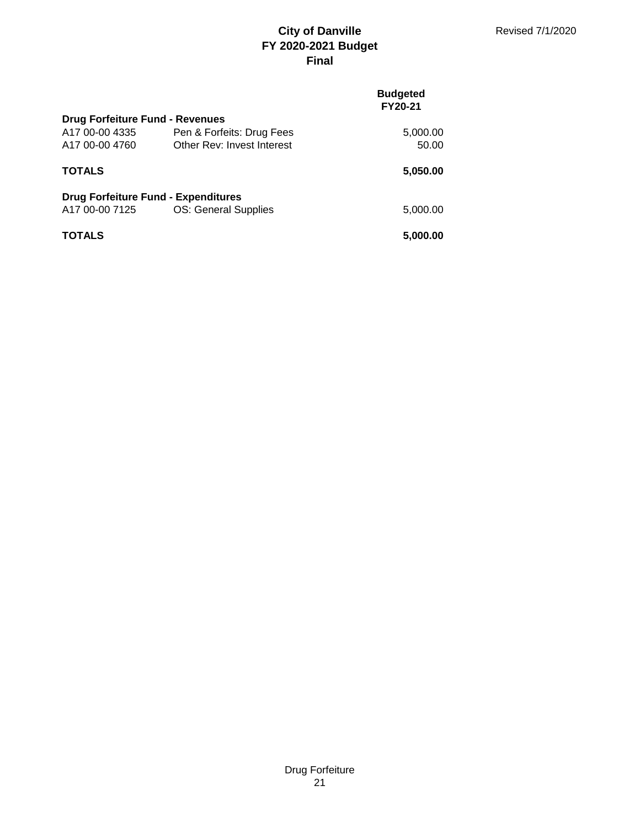|                                            |                            | <b>Budgeted</b><br>FY20-21 |
|--------------------------------------------|----------------------------|----------------------------|
| <b>Drug Forfeiture Fund - Revenues</b>     |                            |                            |
| A17 00-00 4335                             | Pen & Forfeits: Drug Fees  | 5,000.00                   |
| A <sub>17</sub> 00-00 4760                 | Other Rev: Invest Interest | 50.00                      |
| <b>TOTALS</b>                              |                            | 5,050.00                   |
| <b>Drug Forfeiture Fund - Expenditures</b> |                            |                            |
| A17 00-00 7125                             | OS: General Supplies       | 5,000.00                   |
| <b>TOTALS</b>                              |                            | 5,000.00                   |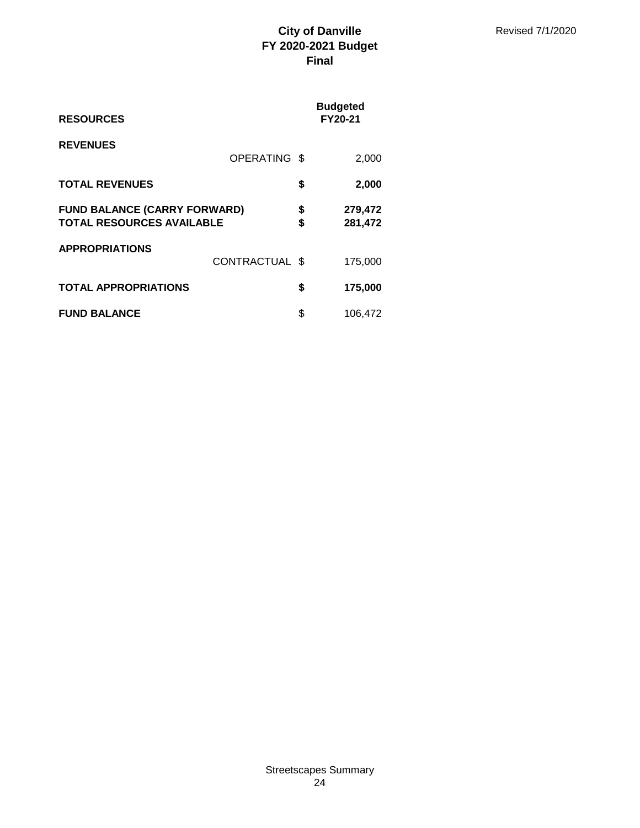| <b>RESOURCES</b>                                                        |                | <b>Budgeted</b><br><b>FY20-21</b> |                    |
|-------------------------------------------------------------------------|----------------|-----------------------------------|--------------------|
| <b>REVENUES</b>                                                         | OPERATING \$   |                                   | 2,000              |
| <b>TOTAL REVENUES</b>                                                   |                | \$                                | 2,000              |
| <b>FUND BALANCE (CARRY FORWARD)</b><br><b>TOTAL RESOURCES AVAILABLE</b> |                | \$<br>\$                          | 279,472<br>281,472 |
| <b>APPROPRIATIONS</b>                                                   | CONTRACTUAL \$ |                                   | 175,000            |
| <b>TOTAL APPROPRIATIONS</b>                                             |                | \$                                | 175,000            |
| <b>FUND BALANCE</b>                                                     |                | \$                                | 106,472            |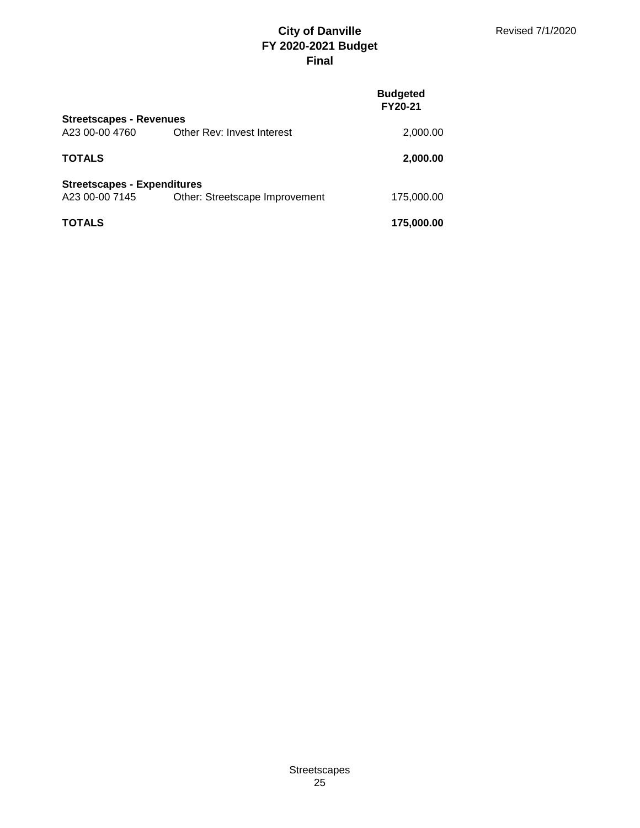|                                    |                                | <b>Budgeted</b><br>FY20-21 |
|------------------------------------|--------------------------------|----------------------------|
| <b>Streetscapes - Revenues</b>     |                                |                            |
| A23 00-00 4760                     | Other Rev: Invest Interest     | 2,000.00                   |
| TOTALS                             |                                | 2,000.00                   |
| <b>Streetscapes - Expenditures</b> |                                |                            |
| A23 00-00 7145                     | Other: Streetscape Improvement | 175,000.00                 |
| TOTALS                             |                                | 175,000.00                 |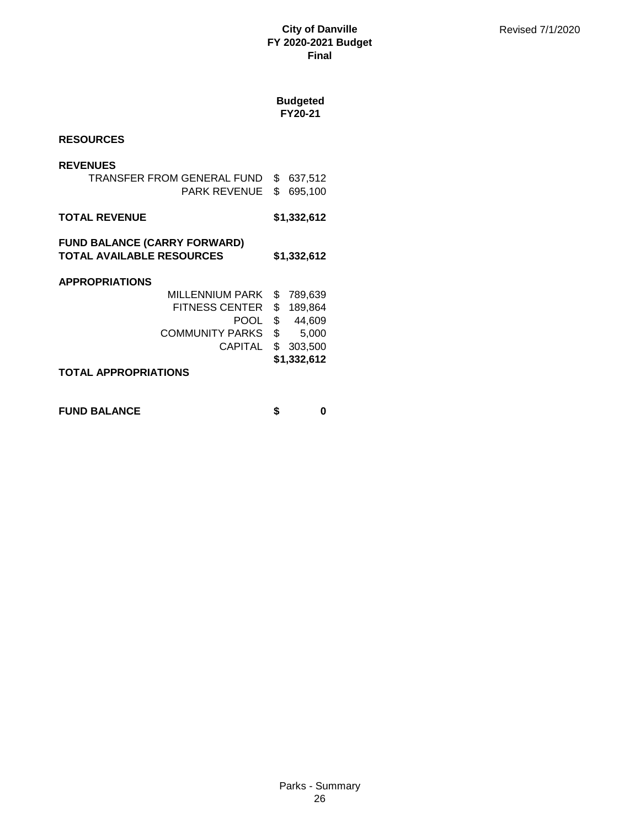# **Budgeted**

**FY20-21**

## **RESOURCES**

### **REVENUES**

| TRANSFER FROM GENERAL FUND \$ 637,512 |  |
|---------------------------------------|--|
| PARK REVENUE \$ 695,100               |  |

### **TOTAL REVENUE \$1,332,612**

### **FUND BALANCE (CARRY FORWARD) TOTAL AVAILABLE RESOURCES \$1,332,612**

### **APPROPRIATIONS**

| TOTAL APPROPRIATIONS      |                |
|---------------------------|----------------|
|                           | \$1,332,612    |
| CAPITAL \$ 303,500        |                |
| COMMUNITY PARKS \$ 5,000  |                |
|                           | POOL \$ 44,609 |
| FITNESS CENTER \$ 189,864 |                |
| MILLENNIUM PARK \$789,639 |                |

## **FUND BALANCE \$ 0**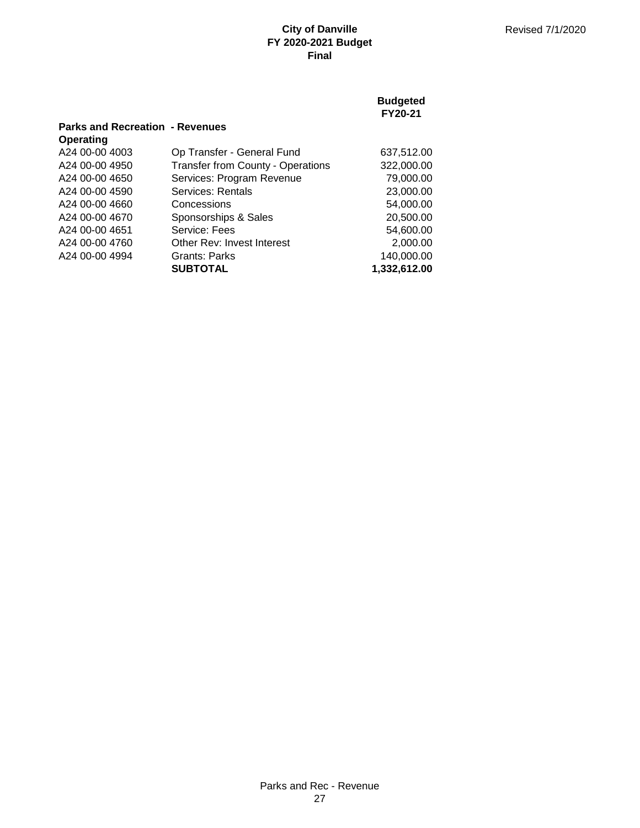|                                        |                                          | <b>Budgeted</b><br>FY20-21 |
|----------------------------------------|------------------------------------------|----------------------------|
| <b>Parks and Recreation - Revenues</b> |                                          |                            |
| <b>Operating</b>                       |                                          |                            |
| A24 00-00 4003                         | Op Transfer - General Fund               | 637,512.00                 |
| A24 00-00 4950                         | <b>Transfer from County - Operations</b> | 322,000.00                 |
| A24 00-00 4650                         | Services: Program Revenue                | 79,000.00                  |
| A24 00-00 4590                         | Services: Rentals                        | 23,000.00                  |
| A24 00-00 4660                         | Concessions                              | 54,000,00                  |
| A24 00-00 4670                         | Sponsorships & Sales                     | 20,500.00                  |
| A24 00-00 4651                         | Service: Fees                            | 54,600,00                  |
| A24 00-00 4760                         | Other Rev: Invest Interest               | 2,000.00                   |
| A24 00-00 4994                         | Grants: Parks                            | 140,000.00                 |
|                                        | <b>SUBTOTAL</b>                          | 1,332,612.00               |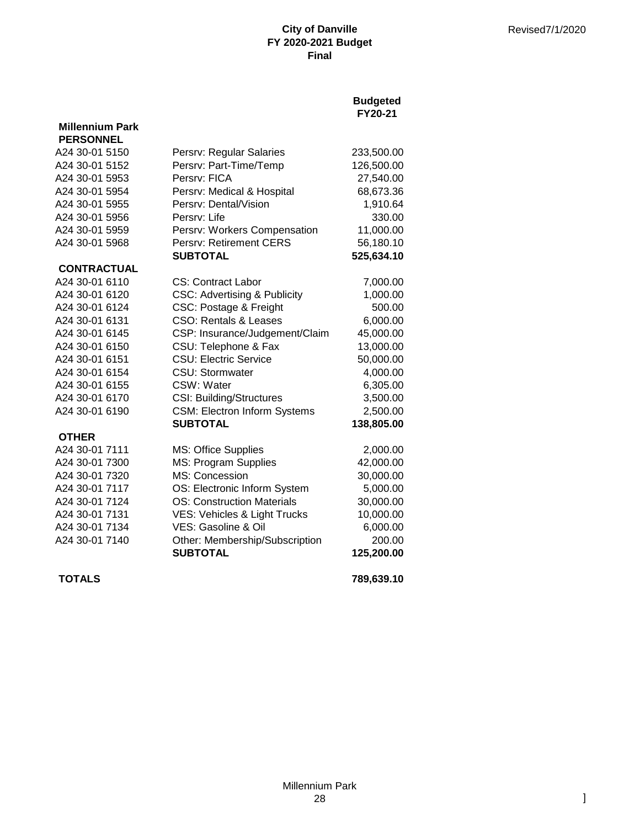## **Budgeted FY20-21**

| <b>PERSONNEL</b>   |                                         |            |
|--------------------|-----------------------------------------|------------|
| A24 30-01 5150     | Persrv: Regular Salaries                | 233,500.00 |
| A24 30-01 5152     | Persrv: Part-Time/Temp                  | 126,500.00 |
| A24 30-01 5953     | Persry: FICA                            | 27,540.00  |
| A24 30-01 5954     | Persrv: Medical & Hospital              | 68,673.36  |
| A24 30-01 5955     | Persrv: Dental/Vision                   | 1,910.64   |
| A24 30-01 5956     | Persrv: Life                            | 330.00     |
| A24 30-01 5959     | Persrv: Workers Compensation            | 11,000.00  |
| A24 30-01 5968     | Persrv: Retirement CERS                 | 56,180.10  |
|                    | <b>SUBTOTAL</b>                         | 525,634.10 |
| <b>CONTRACTUAL</b> |                                         |            |
| A24 30-01 6110     | <b>CS: Contract Labor</b>               | 7,000.00   |
| A24 30-01 6120     | <b>CSC: Advertising &amp; Publicity</b> | 1,000.00   |
| A24 30-01 6124     | CSC: Postage & Freight                  | 500.00     |
| A24 30-01 6131     | <b>CSO: Rentals &amp; Leases</b>        | 6,000.00   |
| A24 30-01 6145     | CSP: Insurance/Judgement/Claim          | 45,000.00  |
| A24 30-01 6150     | CSU: Telephone & Fax                    | 13,000.00  |
| A24 30-01 6151     | <b>CSU: Electric Service</b>            | 50,000.00  |
| A24 30-01 6154     | <b>CSU: Stormwater</b>                  | 4,000.00   |
| A24 30-01 6155     | CSW: Water                              | 6,305.00   |
| A24 30-01 6170     | <b>CSI: Building/Structures</b>         | 3,500.00   |
| A24 30-01 6190     | <b>CSM: Electron Inform Systems</b>     | 2,500.00   |
|                    | <b>SUBTOTAL</b>                         | 138,805.00 |
| <b>OTHER</b>       |                                         |            |
| A24 30-01 7111     | MS: Office Supplies                     | 2,000.00   |
| A24 30-01 7300     | MS: Program Supplies                    | 42,000.00  |
| A24 30-01 7320     | MS: Concession                          | 30,000.00  |
| A24 30-01 7117     | OS: Electronic Inform System            | 5,000.00   |
| A24 30-01 7124     | <b>OS: Construction Materials</b>       | 30,000.00  |
| A24 30-01 7131     | VES: Vehicles & Light Trucks            | 10,000.00  |
| A24 30-01 7134     | VES: Gasoline & Oil                     | 6,000.00   |
| A24 30-01 7140     | Other: Membership/Subscription          | 200.00     |
|                    | <b>SUBTOTAL</b>                         | 125,200.00 |
| <b>TOTALS</b>      |                                         | 789,639.10 |

**Millennium Park**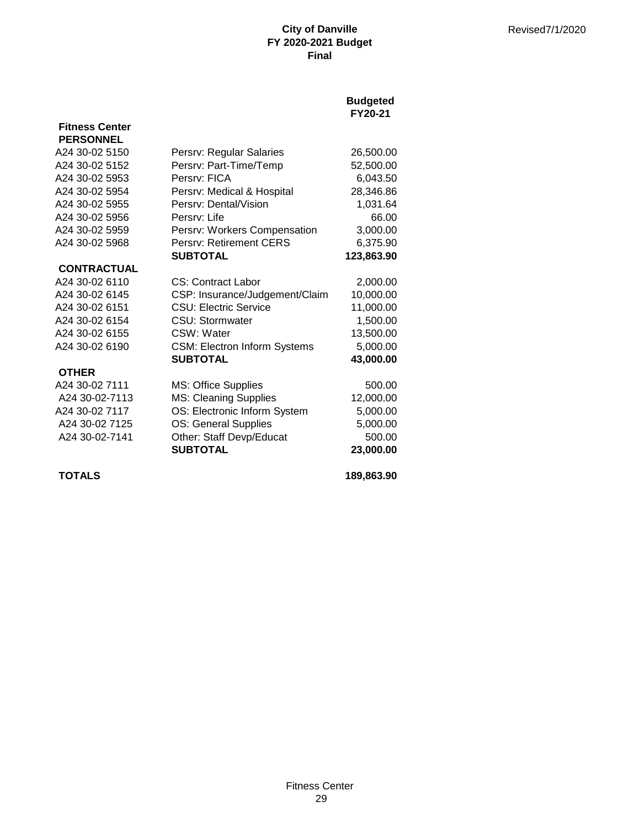## **Budgeted FY20-21**

| <b>PERSONNEL</b>   |                                     |            |
|--------------------|-------------------------------------|------------|
| A24 30-02 5150     | Persrv: Regular Salaries            | 26,500.00  |
| A24 30-02 5152     | Persrv: Part-Time/Temp              | 52,500.00  |
| A24 30-02 5953     | Persry: FICA                        | 6,043.50   |
| A24 30-02 5954     | Persrv: Medical & Hospital          | 28,346.86  |
| A24 30-02 5955     | Persrv: Dental/Vision               | 1,031.64   |
| A24 30-02 5956     | Persry: Life                        | 66.00      |
| A24 30-02 5959     | Persrv: Workers Compensation        | 3,000.00   |
| A24 30-02 5968     | Persrv: Retirement CERS             | 6,375.90   |
|                    | <b>SUBTOTAL</b>                     | 123,863.90 |
| <b>CONTRACTUAL</b> |                                     |            |
| A24 30-02 6110     | <b>CS: Contract Labor</b>           | 2,000.00   |
| A24 30-02 6145     | CSP: Insurance/Judgement/Claim      | 10,000.00  |
| A24 30-02 6151     | <b>CSU: Electric Service</b>        | 11,000.00  |
| A24 30-02 6154     | <b>CSU: Stormwater</b>              | 1,500.00   |
| A24 30-02 6155     | CSW: Water                          | 13,500.00  |
| A24 30-02 6190     | <b>CSM: Electron Inform Systems</b> | 5,000.00   |
|                    | <b>SUBTOTAL</b>                     | 43,000.00  |
| <b>OTHER</b>       |                                     |            |
| A24 30-02 7111     | <b>MS: Office Supplies</b>          | 500.00     |
| A24 30-02-7113     | <b>MS: Cleaning Supplies</b>        | 12,000.00  |
| A24 30-02 7117     | OS: Electronic Inform System        | 5,000.00   |
| A24 30-02 7125     | OS: General Supplies                | 5,000.00   |
| A24 30-02-7141     | Other: Staff Devp/Educat            | 500.00     |
|                    | <b>SUBTOTAL</b>                     | 23,000.00  |
|                    |                                     |            |

**Fitness Center**

**TOTALS 189,863.90**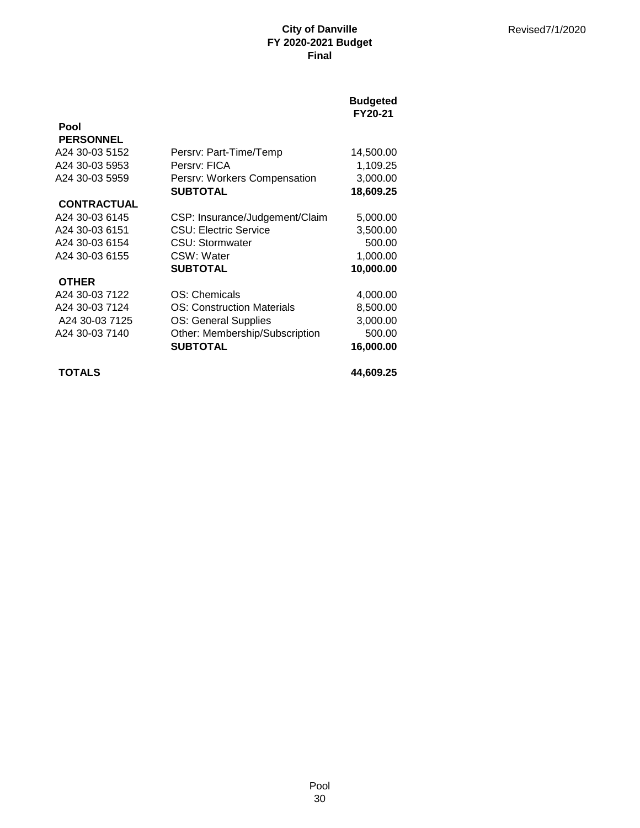## **Budgeted FY20-21**

| <b>PERSONNEL</b>   |                                   |           |
|--------------------|-----------------------------------|-----------|
| A24 30-03 5152     | Persrv: Part-Time/Temp            | 14,500.00 |
| A24 30-03 5953     | Persry: FICA                      | 1,109.25  |
| A24 30-03 5959     | Persrv: Workers Compensation      | 3,000.00  |
|                    | <b>SUBTOTAL</b>                   | 18,609.25 |
| <b>CONTRACTUAL</b> |                                   |           |
| A24 30-03 6145     | CSP: Insurance/Judgement/Claim    | 5,000.00  |
| A24 30-03 6151     | <b>CSU: Electric Service</b>      | 3,500.00  |
| A24 30-03 6154     | CSU: Stormwater                   | 500.00    |
| A24 30-03 6155     | CSW: Water                        | 1,000.00  |
|                    | <b>SUBTOTAL</b>                   | 10,000.00 |
| <b>OTHER</b>       |                                   |           |
| A24 30-03 7122     | OS: Chemicals                     | 4,000.00  |
| A24 30-03 7124     | <b>OS: Construction Materials</b> | 8,500.00  |
| A24 30-03 7125     | <b>OS: General Supplies</b>       | 3,000.00  |
| A24 30-03 7140     | Other: Membership/Subscription    | 500.00    |
|                    | <b>SUBTOTAL</b>                   | 16,000.00 |
| <b>TOTALS</b>      |                                   | 44,609.25 |

**Pool**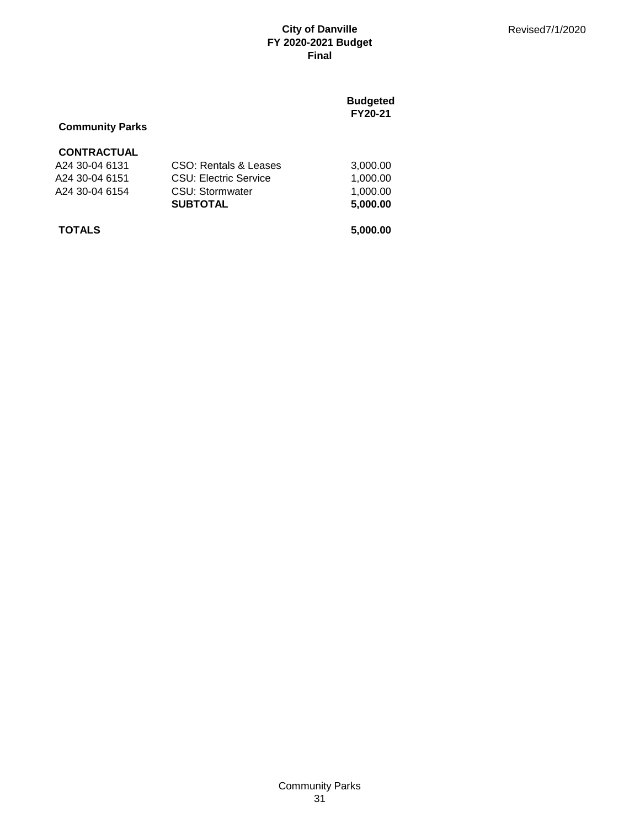## **Budgeted FY20-21**

## **Community Parks**

## **CONTRACTUAL**

| <b>TOTALS</b>  |                              | 5,000.00 |
|----------------|------------------------------|----------|
|                | <b>SUBTOTAL</b>              | 5.000.00 |
| A24 30-04 6154 | CSU: Stormwater              | 1.000.00 |
| A24 30-04 6151 | <b>CSU: Electric Service</b> | 1.000.00 |
| A24 30-04 6131 | CSO: Rentals & Leases        | 3.000.00 |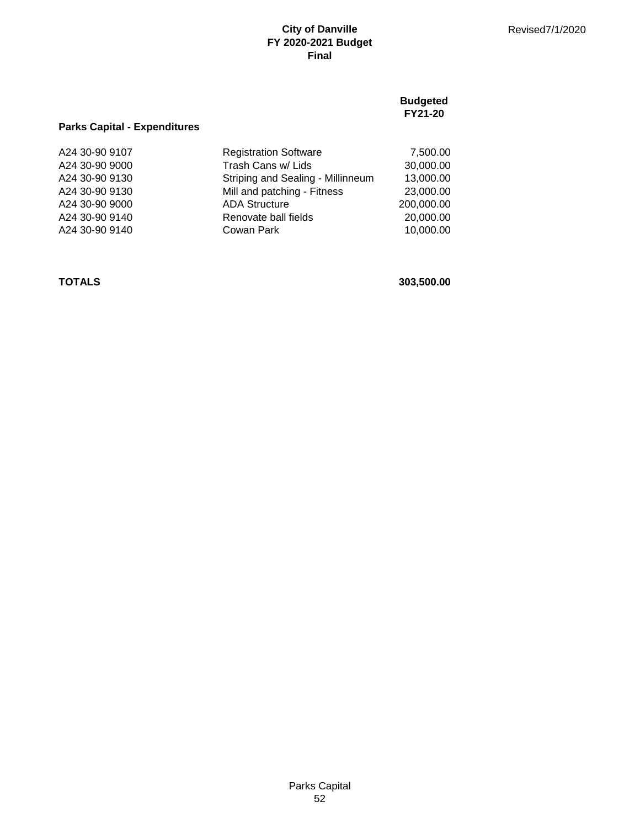|                                     |                                   | <b>Budgeted</b><br>FY21-20 |
|-------------------------------------|-----------------------------------|----------------------------|
| <b>Parks Capital - Expenditures</b> |                                   |                            |
| A24 30-90 9107                      | <b>Registration Software</b>      | 7,500.00                   |
| A24 30-90 9000                      | Trash Cans w/ Lids                | 30,000.00                  |
| A24 30-90 9130                      | Striping and Sealing - Millinneum | 13,000.00                  |
| A24 30-90 9130                      | Mill and patching - Fitness       | 23,000.00                  |
| A24 30-90 9000                      | <b>ADA Structure</b>              | 200,000.00                 |
| A24 30-90 9140                      | Renovate ball fields              | 20,000.00                  |
| A24 30-90 9140                      | Cowan Park                        | 10,000.00                  |
|                                     |                                   |                            |

**TOTALS 303,500.00**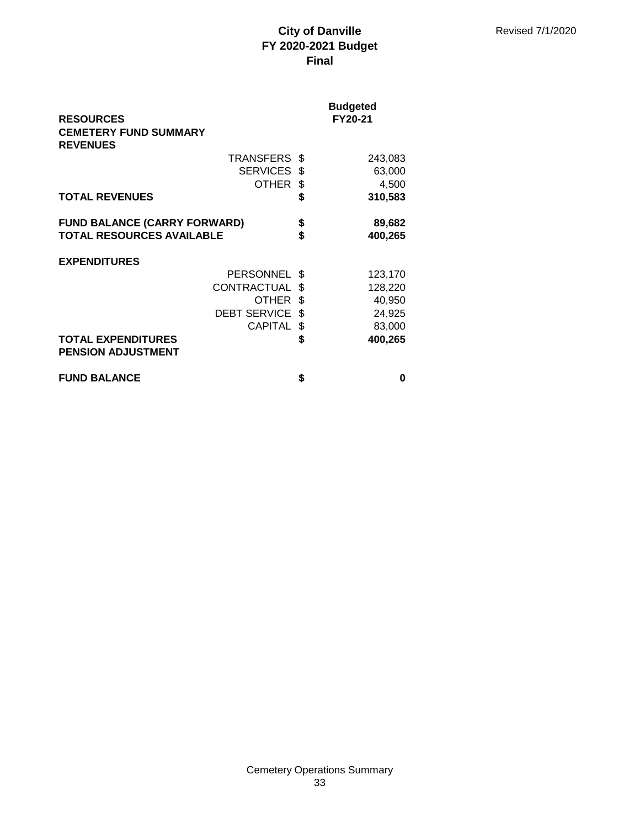| <b>RESOURCES</b>                                                        |                     |          | <b>Budgeted</b><br>FY20-21 |
|-------------------------------------------------------------------------|---------------------|----------|----------------------------|
| <b>CEMETERY FUND SUMMARY</b><br><b>REVENUES</b>                         |                     |          |                            |
|                                                                         | <b>TRANSFERS</b>    | \$.      | 243,083                    |
|                                                                         | SERVICES \$         |          | 63,000                     |
|                                                                         | OTHER               | \$       | 4,500                      |
| <b>TOTAL REVENUES</b>                                                   |                     | \$       | 310,583                    |
| <b>FUND BALANCE (CARRY FORWARD)</b><br><b>TOTAL RESOURCES AVAILABLE</b> |                     | \$<br>\$ | 89,682<br>400,265          |
| <b>EXPENDITURES</b>                                                     |                     |          |                            |
|                                                                         | <b>PERSONNEL</b>    | \$       | 123,170                    |
|                                                                         | <b>CONTRACTUAL</b>  | \$       | 128,220                    |
|                                                                         | OTHER               | \$       | 40,950                     |
|                                                                         | <b>DEBT SERVICE</b> | \$       | 24,925                     |
|                                                                         | <b>CAPITAL</b>      | \$       | 83,000                     |
| <b>TOTAL EXPENDITURES</b><br><b>PENSION ADJUSTMENT</b>                  |                     | \$       | 400,265                    |
| <b>FUND BALANCE</b>                                                     |                     | \$       | O                          |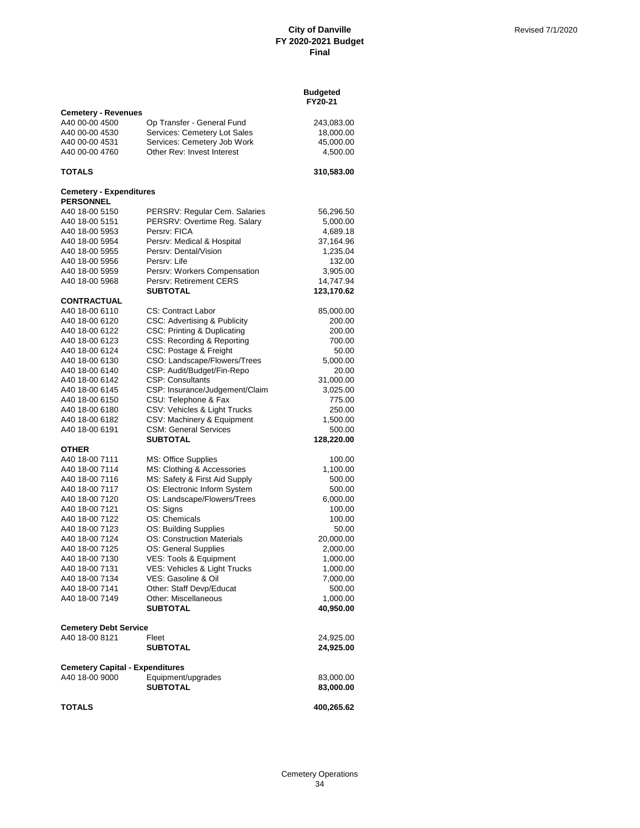|                                                    |                                                           | <b>Budgeted</b><br>FY20-21 |
|----------------------------------------------------|-----------------------------------------------------------|----------------------------|
| <b>Cemetery - Revenues</b>                         |                                                           |                            |
| A40 00-00 4500                                     | Op Transfer - General Fund                                | 243,083.00                 |
| A40 00-00 4530                                     | Services: Cemetery Lot Sales                              | 18,000.00                  |
| A40 00-00 4531                                     | Services: Cemetery Job Work<br>Other Rev: Invest Interest | 45,000.00                  |
| A40 00-00 4760                                     |                                                           | 4,500.00                   |
| TOTALS                                             |                                                           | 310,583.00                 |
| <b>Cemetery - Expenditures</b><br><b>PERSONNEL</b> |                                                           |                            |
| A40 18-00 5150                                     | PERSRV: Regular Cem. Salaries                             | 56,296.50                  |
| A40 18-00 5151                                     | PERSRV: Overtime Reg. Salary                              | 5,000.00                   |
| A40 18-00 5953                                     | Persrv: FICA                                              | 4,689.18                   |
| A40 18-00 5954                                     | Persrv: Medical & Hospital                                | 37,164.96                  |
| A40 18-00 5955                                     | Persrv: Dental/Vision                                     | 1,235.04                   |
| A40 18-00 5956                                     | Persry: Life                                              | 132.00                     |
| A40 18-00 5959                                     | Persrv: Workers Compensation                              | 3,905.00                   |
| A40 18-00 5968                                     | Persrv: Retirement CERS                                   | 14,747.94                  |
| <b>CONTRACTUAL</b>                                 | <b>SUBTOTAL</b>                                           | 123,170.62                 |
| A40 18-00 6110                                     | CS: Contract Labor                                        | 85,000.00                  |
| A40 18-00 6120                                     | CSC: Advertising & Publicity                              | 200.00                     |
| A40 18-00 6122                                     | CSC: Printing & Duplicating                               | 200.00                     |
| A40 18-00 6123                                     | CSS: Recording & Reporting                                | 700.00                     |
| A40 18-00 6124                                     | CSC: Postage & Freight                                    | 50.00                      |
| A40 18-00 6130                                     | CSO: Landscape/Flowers/Trees                              | 5,000.00                   |
| A40 18-00 6140                                     | CSP: Audit/Budget/Fin-Repo                                | 20.00                      |
| A40 18-00 6142                                     | <b>CSP: Consultants</b>                                   | 31,000.00                  |
| A40 18-00 6145                                     | CSP: Insurance/Judgement/Claim                            | 3,025.00                   |
| A40 18-00 6150                                     | CSU: Telephone & Fax                                      | 775.00                     |
| A40 18-00 6180                                     | CSV: Vehicles & Light Trucks                              | 250.00                     |
| A40 18-00 6182                                     | CSV: Machinery & Equipment                                | 1,500.00                   |
| A40 18-00 6191                                     | <b>CSM: General Services</b>                              | 500.00                     |
|                                                    | <b>SUBTOTAL</b>                                           | 128,220.00                 |
| <b>OTHER</b><br>A40 18-00 7111                     |                                                           | 100.00                     |
| A40 18-00 7114                                     | MS: Office Supplies<br>MS: Clothing & Accessories         | 1,100.00                   |
| A40 18-00 7116                                     | MS: Safety & First Aid Supply                             | 500.00                     |
| A40 18-00 7117                                     | OS: Electronic Inform System                              | 500.00                     |
| A40 18-00 7120                                     | OS: Landscape/Flowers/Trees                               | 6,000.00                   |
| A40 18-00 7121                                     | OS: Signs                                                 | 100.00                     |
| A40 18-00 7122                                     | OS: Chemicals                                             | 100.00                     |
| A40 18-00 7123                                     | OS: Building Supplies                                     | 50.00                      |
| A40 18-00 7124                                     | <b>OS: Construction Materials</b>                         | 20,000.00                  |
| A40 18-00 7125                                     | OS: General Supplies                                      | 2,000.00                   |
| A40 18-00 7130                                     | VES: Tools & Equipment                                    | 1,000.00                   |
| A40 18-00 7131                                     | VES: Vehicles & Light Trucks                              | 1,000.00                   |
| A40 18-00 7134                                     | VES: Gasoline & Oil                                       | 7,000.00                   |
| A40 18-00 7141                                     | Other: Staff Devp/Educat                                  | 500.00                     |
| A40 18-00 7149                                     | Other: Miscellaneous                                      | 1,000.00                   |
|                                                    | <b>SUBTOTAL</b>                                           | 40,950.00                  |
| <b>Cemetery Debt Service</b>                       |                                                           |                            |
| A40 18-00 8121                                     | Fleet                                                     | 24,925.00                  |
|                                                    | <b>SUBTOTAL</b>                                           | 24,925.00                  |
| <b>Cemetery Capital - Expenditures</b>             |                                                           |                            |
| A40 18-00 9000                                     | Equipment/upgrades                                        | 83,000.00                  |
|                                                    | <b>SUBTOTAL</b>                                           | 83,000.00                  |
|                                                    |                                                           |                            |
| <b>TOTALS</b>                                      |                                                           | 400,265.62                 |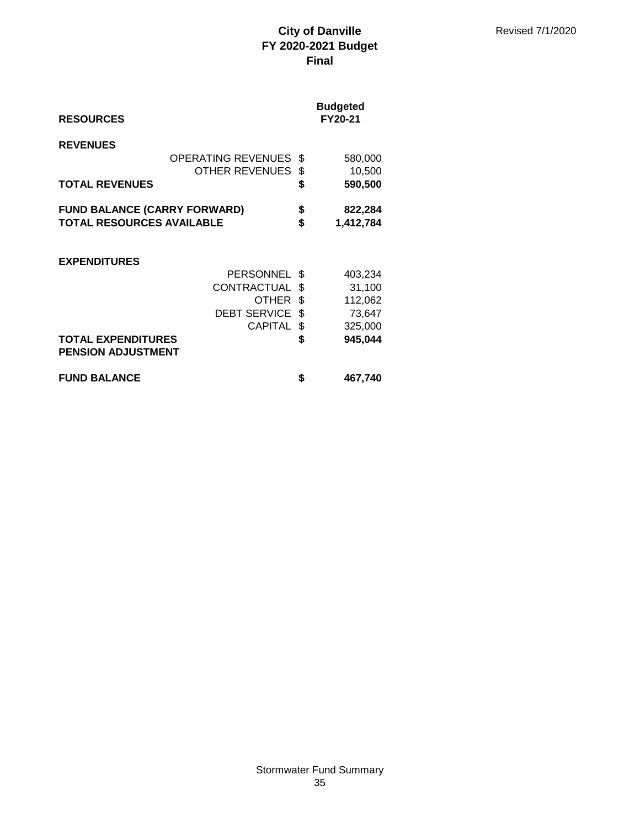| <b>RESOURCES</b>                                                        |                                                                                   |                                 | <b>Budgeted</b><br>FY20-21                                   |
|-------------------------------------------------------------------------|-----------------------------------------------------------------------------------|---------------------------------|--------------------------------------------------------------|
| <b>REVENUES</b><br><b>TOTAL REVENUES</b>                                | <b>OPERATING REVENUES</b><br>OTHER REVENUES                                       | \$<br>\$<br>\$                  | 580,000<br>10,500<br>590,500                                 |
| <b>FUND BALANCE (CARRY FORWARD)</b><br><b>TOTAL RESOURCES AVAILABLE</b> |                                                                                   | \$<br>\$                        | 822,284<br>1,412,784                                         |
| <b>EXPENDITURES</b><br><b>TOTAL EXPENDITURES</b>                        | PERSONNEL<br>CONTRACTUAL<br><b>OTHER</b><br><b>DEBT SERVICE</b><br><b>CAPITAL</b> | S<br>\$<br>\$<br>\$<br>\$<br>\$ | 403,234<br>31,100<br>112,062<br>73,647<br>325,000<br>945,044 |
| <b>PENSION ADJUSTMENT</b><br><b>FUND BALANCE</b>                        |                                                                                   | \$                              | 467,740                                                      |
|                                                                         |                                                                                   |                                 |                                                              |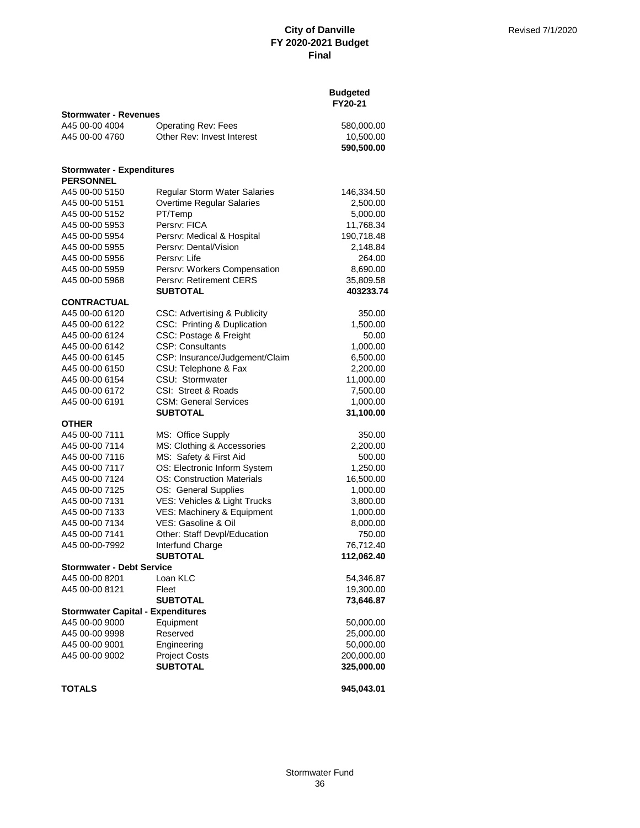|                                                      |                                     | <b>Budgeted</b><br>FY20-21 |
|------------------------------------------------------|-------------------------------------|----------------------------|
| <b>Stormwater - Revenues</b>                         |                                     |                            |
| A45 00-00 4004                                       | <b>Operating Rev: Fees</b>          | 580,000.00                 |
| A45 00-00 4760                                       | Other Rev: Invest Interest          | 10,500.00                  |
|                                                      |                                     | 590,500.00                 |
| <b>Stormwater - Expenditures</b><br><b>PERSONNEL</b> |                                     |                            |
| A45 00-00 5150                                       | <b>Regular Storm Water Salaries</b> | 146,334.50                 |
| A45 00-00 5151                                       | Overtime Regular Salaries           | 2,500.00                   |
| A45 00-00 5152                                       | PT/Temp                             | 5,000.00                   |
| A45 00-00 5953                                       | Persry: FICA                        | 11,768.34                  |
| A45 00-00 5954                                       | Persrv: Medical & Hospital          | 190,718.48                 |
| A45 00-00 5955                                       | Persry: Dental/Vision               | 2,148.84                   |
| A45 00-00 5956                                       | Persrv: Life                        | 264.00                     |
| A45 00-00 5959                                       | Persrv: Workers Compensation        | 8,690.00                   |
| A45 00-00 5968                                       | Persrv: Retirement CERS             | 35,809.58                  |
|                                                      | <b>SUBTOTAL</b>                     | 403233.74                  |
| <b>CONTRACTUAL</b>                                   |                                     |                            |
| A45 00-00 6120                                       | CSC: Advertising & Publicity        | 350.00                     |
| A45 00-00 6122                                       | CSC: Printing & Duplication         | 1,500.00                   |
| A45 00-00 6124                                       | CSC: Postage & Freight              | 50.00                      |
| A45 00-00 6142                                       | <b>CSP: Consultants</b>             | 1,000.00                   |
| A45 00-00 6145                                       | CSP: Insurance/Judgement/Claim      | 6,500.00                   |
| A45 00-00 6150                                       | CSU: Telephone & Fax                | 2,200.00                   |
| A45 00-00 6154                                       | CSU: Stormwater                     | 11,000.00                  |
| A45 00-00 6172                                       | CSI: Street & Roads                 | 7,500.00                   |
| A45 00-00 6191                                       | <b>CSM: General Services</b>        | 1,000.00                   |
| <b>OTHER</b>                                         | <b>SUBTOTAL</b>                     | 31,100.00                  |
| A45 00-00 7111                                       | MS: Office Supply                   | 350.00                     |
| A45 00-00 7114                                       | MS: Clothing & Accessories          | 2,200.00                   |
| A45 00-00 7116                                       | MS: Safety & First Aid              | 500.00                     |
| A45 00-00 7117                                       | OS: Electronic Inform System        | 1,250.00                   |
| A45 00-00 7124                                       | <b>OS: Construction Materials</b>   | 16,500.00                  |
| A45 00-00 7125                                       | OS: General Supplies                | 1,000.00                   |
| A45 00-00 7131                                       | VES: Vehicles & Light Trucks        | 3,800.00                   |
| A45 00-00 7133                                       | VES: Machinery & Equipment          | 1,000.00                   |
| A45 00-00 7134                                       | VES: Gasoline & Oil                 | 8,000.00                   |
| A45 00-00 7141                                       | Other: Staff Devpl/Education        | 750.00                     |
| A45 00-00-7992                                       | Interfund Charge                    | 76,712.40                  |
|                                                      | <b>SUBTOTAL</b>                     | 112,062.40                 |
| <b>Stormwater - Debt Service</b>                     |                                     |                            |
| A45 00-00 8201                                       | Loan KLC                            | 54,346.87                  |
| A45 00-00 8121                                       | Fleet                               | 19,300.00                  |
|                                                      | <b>SUBTOTAL</b>                     | 73,646.87                  |
| <b>Stormwater Capital - Expenditures</b>             |                                     |                            |
| A45 00-00 9000                                       | Equipment                           | 50,000.00                  |
| A45 00-00 9998                                       | Reserved                            | 25,000.00                  |
| A45 00-00 9001                                       | Engineering                         | 50,000.00                  |
| A45 00-00 9002                                       | <b>Project Costs</b>                | 200,000.00                 |
|                                                      | <b>SUBTOTAL</b>                     | 325,000.00                 |
| <b>TOTALS</b>                                        |                                     | 945,043.01                 |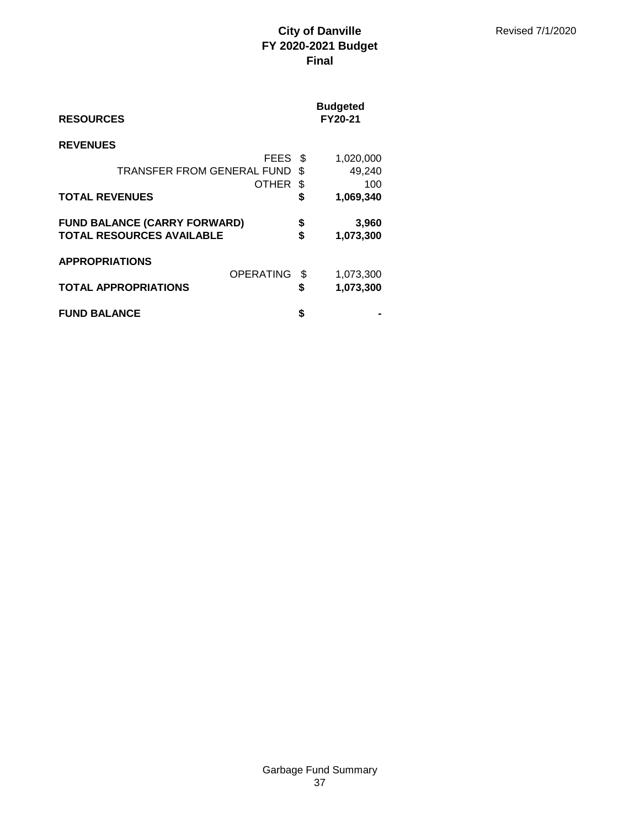| <b>RESOURCES</b>                                                        |                  |          | <b>Budgeted</b><br>FY20-21 |
|-------------------------------------------------------------------------|------------------|----------|----------------------------|
| <b>REVENUES</b>                                                         |                  |          |                            |
|                                                                         | FEES             | - \$     | 1,020,000                  |
| TRANSFER FROM GENERAL FUND                                              |                  | \$.      | 49,240                     |
|                                                                         | OTHER            | S        | 100                        |
| <b>TOTAL REVENUES</b>                                                   |                  | S        | 1,069,340                  |
| <b>FUND BALANCE (CARRY FORWARD)</b><br><b>TOTAL RESOURCES AVAILABLE</b> |                  | \$<br>\$ | 3,960<br>1,073,300         |
|                                                                         |                  |          |                            |
| <b>APPROPRIATIONS</b>                                                   | <b>OPERATING</b> |          |                            |
|                                                                         |                  | \$       | 1,073,300                  |
| <b>TOTAL APPROPRIATIONS</b>                                             |                  | \$       | 1,073,300                  |
| <b>FUND BALANCE</b>                                                     |                  | S        |                            |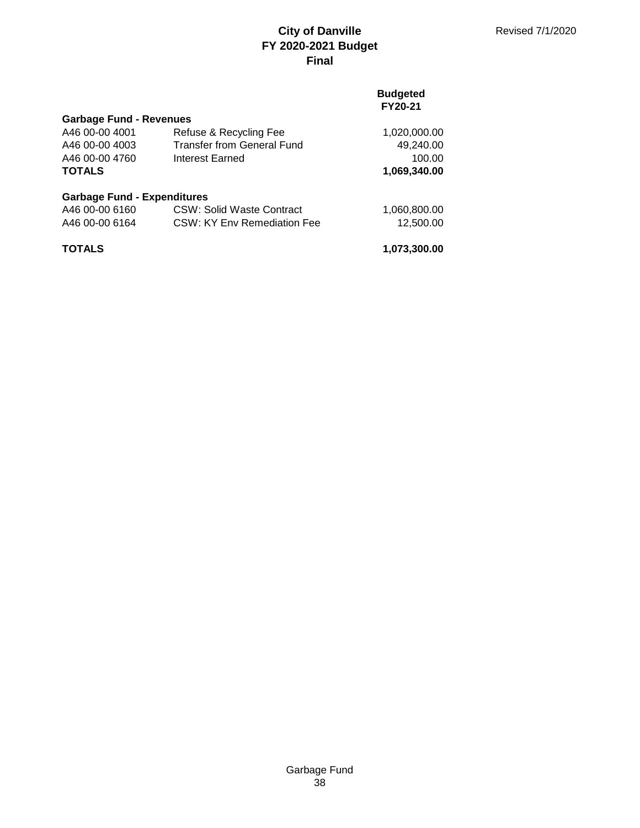### **Budgeted FY20-21**

| <b>Garbage Fund - Revenues</b>     |                                   |              |
|------------------------------------|-----------------------------------|--------------|
| A46 00-00 4001                     | Refuse & Recycling Fee            | 1,020,000.00 |
| A46 00-00 4003                     | <b>Transfer from General Fund</b> | 49,240.00    |
| A46 00-00 4760                     | Interest Earned                   | 100.00       |
| <b>TOTALS</b>                      |                                   | 1,069,340.00 |
| <b>Garbage Fund - Expenditures</b> |                                   |              |
| A46 00-00 6160                     | CSW: Solid Waste Contract         | 1,060,800.00 |
| A46 00-00 6164                     | CSW: KY Env Remediation Fee       | 12,500.00    |
| <b>TOTALS</b>                      |                                   | 1,073,300.00 |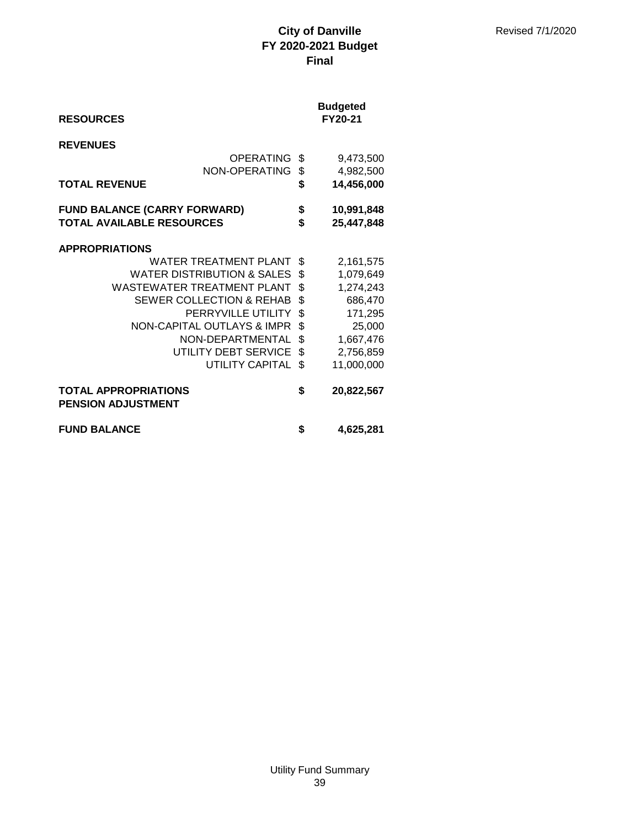| <b>RESOURCES</b>                                         |                                       | <b>Budgeted</b><br>FY20-21 |
|----------------------------------------------------------|---------------------------------------|----------------------------|
| <b>REVENUES</b>                                          | <b>OPERATING</b>                      | \$<br>9,473,500            |
|                                                          | NON-OPERATING                         | \$<br>4,982,500            |
| <b>TOTAL REVENUE</b>                                     |                                       | \$<br>14,456,000           |
| <b>FUND BALANCE (CARRY FORWARD)</b>                      |                                       | \$<br>10,991,848           |
| <b>TOTAL AVAILABLE RESOURCES</b>                         |                                       | \$<br>25,447,848           |
| <b>APPROPRIATIONS</b>                                    | <b>WATER TREATMENT PLANT</b>          | \$<br>2,161,575            |
|                                                          | <b>WATER DISTRIBUTION &amp; SALES</b> | \$<br>1,079,649            |
|                                                          | WASTEWATER TREATMENT PLANT            | \$<br>1,274,243            |
|                                                          | <b>SEWER COLLECTION &amp; REHAB</b>   | \$<br>686,470              |
|                                                          | PERRYVILLE UTILITY                    | \$<br>171,295              |
|                                                          | <b>NON-CAPITAL OUTLAYS &amp; IMPR</b> | \$<br>25,000               |
|                                                          | NON-DEPARTMENTAL                      | \$<br>1,667,476            |
|                                                          | UTILITY DEBT SERVICE                  | \$<br>2,756,859            |
|                                                          | <b>UTILITY CAPITAL</b>                | \$<br>11,000,000           |
| <b>TOTAL APPROPRIATIONS</b><br><b>PENSION ADJUSTMENT</b> |                                       | \$<br>20,822,567           |
| <b>FUND BALANCE</b>                                      |                                       | \$<br>4,625,281            |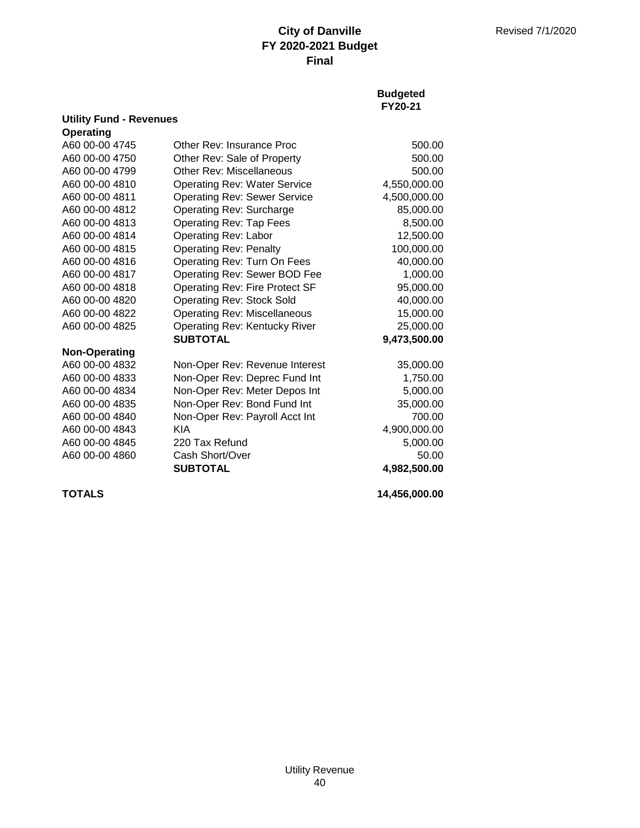**Budgeted FY20-21**

|                      | <b>Utility Fund - Revenues</b>      |              |  |
|----------------------|-------------------------------------|--------------|--|
| <b>Operating</b>     |                                     |              |  |
| A60 00-00 4745       | Other Rev: Insurance Proc           | 500.00       |  |
| A60 00-00 4750       | Other Rev: Sale of Property         | 500.00       |  |
| A60 00-00 4799       | Other Rev: Miscellaneous            | 500.00       |  |
| A60 00-00 4810       | <b>Operating Rev: Water Service</b> | 4,550,000.00 |  |
| A60 00-00 4811       | <b>Operating Rev: Sewer Service</b> | 4,500,000.00 |  |
| A60 00-00 4812       | Operating Rev: Surcharge            | 85,000.00    |  |
| A60 00-00 4813       | <b>Operating Rev: Tap Fees</b>      | 8,500.00     |  |
| A60 00-00 4814       | <b>Operating Rev: Labor</b>         | 12,500.00    |  |
| A60 00-00 4815       | <b>Operating Rev: Penalty</b>       | 100,000.00   |  |
| A60 00-00 4816       | Operating Rev: Turn On Fees         | 40,000.00    |  |
| A60 00-00 4817       | Operating Rev: Sewer BOD Fee        | 1,000.00     |  |
| A60 00-00 4818       | Operating Rev: Fire Protect SF      | 95,000.00    |  |
| A60 00-00 4820       | <b>Operating Rev: Stock Sold</b>    | 40,000.00    |  |
| A60 00-00 4822       | <b>Operating Rev: Miscellaneous</b> | 15,000.00    |  |
| A60 00-00 4825       | Operating Rev: Kentucky River       | 25,000.00    |  |
|                      | <b>SUBTOTAL</b>                     | 9,473,500.00 |  |
| <b>Non-Operating</b> |                                     |              |  |
| A60 00-00 4832       | Non-Oper Rev: Revenue Interest      | 35,000.00    |  |
| A60 00-00 4833       | Non-Oper Rev: Deprec Fund Int       | 1,750.00     |  |
| A60 00-00 4834       | Non-Oper Rev: Meter Depos Int       | 5,000.00     |  |
| A60 00-00 4835       | Non-Oper Rev: Bond Fund Int         | 35,000.00    |  |
| A60 00-00 4840       | Non-Oper Rev: Payroll Acct Int      | 700.00       |  |
| A60 00-00 4843       | <b>KIA</b>                          | 4,900,000.00 |  |
| A60 00-00 4845       | 220 Tax Refund                      | 5,000.00     |  |
| A60 00-00 4860       | Cash Short/Over                     | 50.00        |  |
|                      | <b>SUBTOTAL</b>                     | 4,982,500.00 |  |

**TOTALS 14,456,000.00**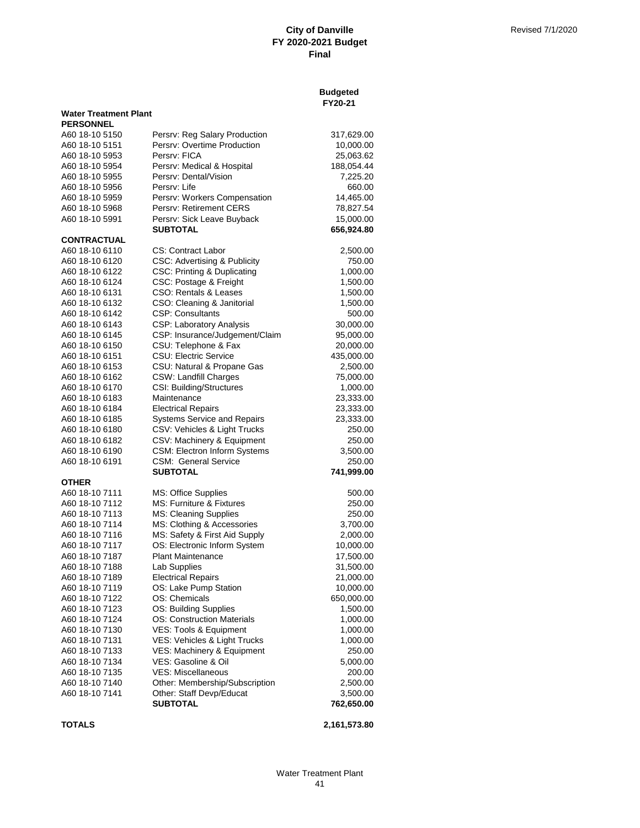**Budgeted**

|                              |                                    | FY20-21    |
|------------------------------|------------------------------------|------------|
| <b>Water Treatment Plant</b> |                                    |            |
| <b>PERSONNEL</b>             |                                    |            |
| A60 18-10 5150               | Persry: Reg Salary Production      | 317,629.00 |
| A60 18-10 5151               | Persrv: Overtime Production        | 10,000.00  |
| A60 18-10 5953               | Persry: FICA                       | 25,063.62  |
| A60 18-10 5954               | Persrv: Medical & Hospital         | 188,054.44 |
| A60 18-10 5955               | Persry: Dental/Vision              | 7,225.20   |
|                              | Persrv: Life                       |            |
| A60 18-10 5956               |                                    | 660.00     |
| A60 18-10 5959               | Persrv: Workers Compensation       | 14,465.00  |
| A60 18-10 5968               | Persrv: Retirement CERS            | 78,827.54  |
| A60 18-10 5991               | Persrv: Sick Leave Buyback         | 15,000.00  |
|                              | SUBTOTAL                           | 656,924.80 |
| <b>CONTRACTUAL</b>           |                                    |            |
| A60 18-10 6110               | <b>CS: Contract Labor</b>          | 2,500.00   |
| A60 18-10 6120               | CSC: Advertising & Publicity       | 750.00     |
| A60 18-10 6122               | CSC: Printing & Duplicating        | 1,000.00   |
| A60 18-10 6124               | CSC: Postage & Freight             | 1,500.00   |
| A60 18-10 6131               | CSO: Rentals & Leases              | 1,500.00   |
| A60 18-10 6132               | CSO: Cleaning & Janitorial         | 1,500.00   |
| A60 18-10 6142               | <b>CSP: Consultants</b>            | 500.00     |
| A60 18-10 6143               | CSP: Laboratory Analysis           | 30,000.00  |
| A60 18-10 6145               | CSP: Insurance/Judgement/Claim     | 95,000.00  |
| A60 18-10 6150               | CSU: Telephone & Fax               | 20,000.00  |
| A60 18-10 6151               | <b>CSU: Electric Service</b>       | 435,000.00 |
| A60 18-10 6153               | CSU: Natural & Propane Gas         | 2,500.00   |
| A60 18-10 6162               | <b>CSW: Landfill Charges</b>       | 75,000.00  |
|                              |                                    |            |
| A60 18-10 6170               | CSI: Building/Structures           | 1,000.00   |
| A60 18-10 6183               | Maintenance                        | 23,333.00  |
| A60 18-10 6184               | <b>Electrical Repairs</b>          | 23,333.00  |
| A60 18-10 6185               | <b>Systems Service and Repairs</b> | 23,333.00  |
| A60 18-10 6180               | CSV: Vehicles & Light Trucks       | 250.00     |
| A60 18-10 6182               | CSV: Machinery & Equipment         | 250.00     |
| A60 18-10 6190               | CSM: Electron Inform Systems       | 3,500.00   |
| A60 18-10 6191               | <b>CSM: General Service</b>        | 250.00     |
|                              | <b>SUBTOTAL</b>                    | 741,999.00 |
| <b>OTHER</b>                 |                                    |            |
| A60 18-10 7111               | MS: Office Supplies                | 500.00     |
| A60 18-10 7112               | MS: Furniture & Fixtures           | 250.00     |
| A60 18-10 7113               | <b>MS: Cleaning Supplies</b>       | 250.00     |
| A60 18-10 7114               | MS: Clothing & Accessories         | 3,700.00   |
| A60 18-10 7116               | MS: Safety & First Aid Supply      | 2,000.00   |
| A60 18-10 7117               | OS: Electronic Inform System       | 10,000.00  |
| A60 18-10 7187               | <b>Plant Maintenance</b>           | 17,500.00  |
| A60 18-10 7188               | Lab Supplies                       | 31,500.00  |
| A60 18-10 7189               | <b>Electrical Repairs</b>          | 21,000.00  |
| A60 18-10 7119               | OS: Lake Pump Station              | 10,000.00  |
| A60 18-10 7122               | OS: Chemicals                      | 650,000.00 |
| A60 18-10 7123               |                                    |            |
|                              | OS: Building Supplies              | 1,500.00   |
| A60 18-10 7124               | <b>OS: Construction Materials</b>  | 1,000.00   |
| A60 18-10 7130               | VES: Tools & Equipment             | 1,000.00   |
| A60 18-10 7131               | VES: Vehicles & Light Trucks       | 1,000.00   |
| A60 18-10 7133               | VES: Machinery & Equipment         | 250.00     |
| A60 18-10 7134               | VES: Gasoline & Oil                | 5,000.00   |
| A60 18-10 7135               | <b>VES: Miscellaneous</b>          | 200.00     |
| A60 18-10 7140               | Other: Membership/Subscription     | 2,500.00   |
| A60 18-10 7141               | Other: Staff Devp/Educat           | 3,500.00   |
|                              | <b>SUBTOTAL</b>                    | 762,650.00 |
|                              |                                    |            |

**TOTALS 2,161,573.80**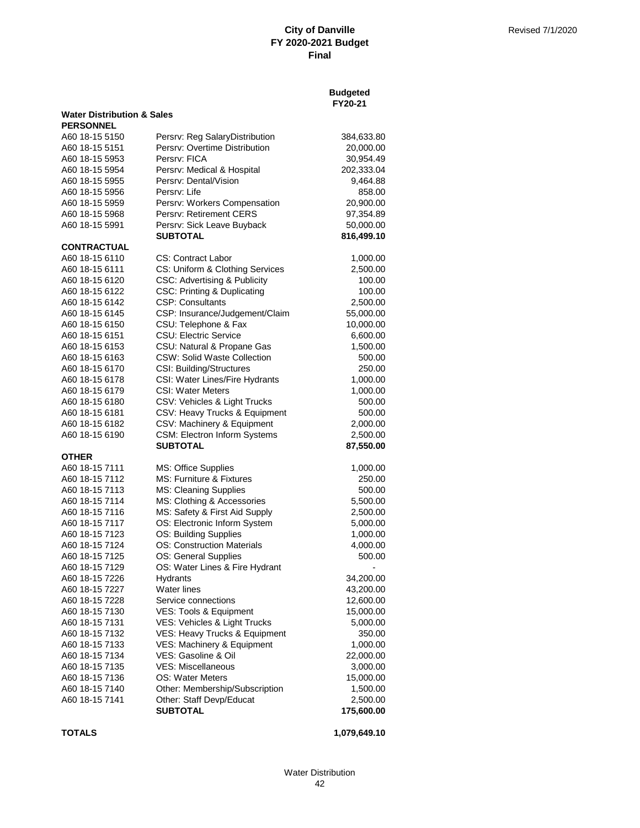|                                       |                                                 | <b>Budgeted</b><br>FY20-21 |
|---------------------------------------|-------------------------------------------------|----------------------------|
| <b>Water Distribution &amp; Sales</b> |                                                 |                            |
| <b>PERSONNEL</b><br>A60 18-15 5150    | Persrv: Reg SalaryDistribution                  | 384,633.80                 |
| A60 18-15 5151                        | Persry: Overtime Distribution                   | 20,000.00                  |
| A60 18-15 5953                        | Persrv: FICA                                    | 30,954.49                  |
| A60 18-15 5954                        | Persrv: Medical & Hospital                      | 202,333.04                 |
| A60 18-15 5955                        | Persrv: Dental/Vision                           | 9,464.88                   |
| A60 18-15 5956                        | Persrv: Life                                    | 858.00                     |
| A60 18-15 5959                        | Persrv: Workers Compensation                    | 20,900.00                  |
| A60 18-15 5968                        | Persrv: Retirement CERS                         | 97,354.89                  |
| A60 18-15 5991                        | Persrv: Sick Leave Buyback                      | 50,000.00                  |
|                                       | <b>SUBTOTAL</b>                                 | 816,499.10                 |
| CONTRACTUAL                           |                                                 |                            |
| A60 18-15 6110                        | CS: Contract Labor                              | 1,000.00                   |
| A60 18-15 6111                        | CS: Uniform & Clothing Services                 | 2,500.00                   |
| A60 18-15 6120                        | <b>CSC: Advertising &amp; Publicity</b>         | 100.00                     |
| A60 18-15 6122                        | <b>CSC: Printing &amp; Duplicating</b>          | 100.00                     |
| A60 18-15 6142                        | <b>CSP: Consultants</b>                         | 2,500.00                   |
| A60 18-15 6145                        | CSP: Insurance/Judgement/Claim                  | 55,000.00                  |
| A60 18-15 6150                        | CSU: Telephone & Fax                            | 10,000.00                  |
| A60 18-15 6151                        | CSU: Electric Service                           | 6,600.00                   |
| A60 18-15 6153                        | CSU: Natural & Propane Gas                      | 1,500.00                   |
| A60 18-15 6163                        | <b>CSW: Solid Waste Collection</b>              | 500.00                     |
| A60 18-15 6170                        | CSI: Building/Structures                        | 250.00                     |
| A60 18-15 6178                        | CSI: Water Lines/Fire Hydrants                  | 1,000.00                   |
| A60 18-15 6179                        | <b>CSI: Water Meters</b>                        | 1,000.00                   |
| A60 18-15 6180                        | CSV: Vehicles & Light Trucks                    | 500.00                     |
| A60 18-15 6181                        | CSV: Heavy Trucks & Equipment                   | 500.00                     |
| A60 18-15 6182                        | CSV: Machinery & Equipment                      | 2,000.00                   |
| A60 18-15 6190                        | CSM: Electron Inform Systems<br><b>SUBTOTAL</b> | 2,500.00<br>87,550.00      |
| OTHER                                 |                                                 |                            |
| A60 18-15 7111                        | MS: Office Supplies                             | 1,000.00                   |
| A60 18-15 7112                        | MS: Furniture & Fixtures                        | 250.00                     |
| A60 18-15 7113                        | MS: Cleaning Supplies                           | 500.00                     |
| A60 18-15 7114                        | MS: Clothing & Accessories                      | 5,500.00                   |
| A60 18-15 7116                        | MS: Safety & First Aid Supply                   | 2,500.00                   |
| A60 18-15 7117                        | OS: Electronic Inform System                    | 5,000.00                   |
| A60 18-15 7123                        | OS: Building Supplies                           | 1,000.00                   |
| A60 18-15 7124                        | <b>OS: Construction Materials</b>               | 4,000.00                   |
| A60 18-15 7125                        | OS: General Supplies                            | 500.00                     |
| A60 18-15 7129                        | OS: Water Lines & Fire Hydrant                  |                            |
| A60 18-15 7226                        | Hydrants                                        | 34,200.00                  |
| A60 18-15 7227                        | <b>Water lines</b>                              | 43,200.00                  |
| A60 18-15 7228                        | Service connections                             | 12,600.00                  |
| A60 18-15 7130                        | VES: Tools & Equipment                          | 15,000.00                  |
| A60 18-15 7131                        | VES: Vehicles & Light Trucks                    | 5,000.00                   |
| A60 18-15 7132                        | VES: Heavy Trucks & Equipment                   | 350.00                     |
| A60 18-15 7133                        | VES: Machinery & Equipment                      | 1,000.00                   |
| A60 18-15 7134                        | VES: Gasoline & Oil                             | 22,000.00                  |
| A60 18-15 7135                        | VES: Miscellaneous                              | 3,000.00                   |
| A60 18-15 7136                        | OS: Water Meters                                | 15,000.00                  |
| A60 18-15 7140                        | Other: Membership/Subscription                  | 1,500.00                   |
| A60 18-15 7141                        | Other: Staff Devp/Educat                        | 2,500.00                   |
|                                       | <b>SUBTOTAL</b>                                 | 175,600.00                 |

**TOTALS 1,079,649.10**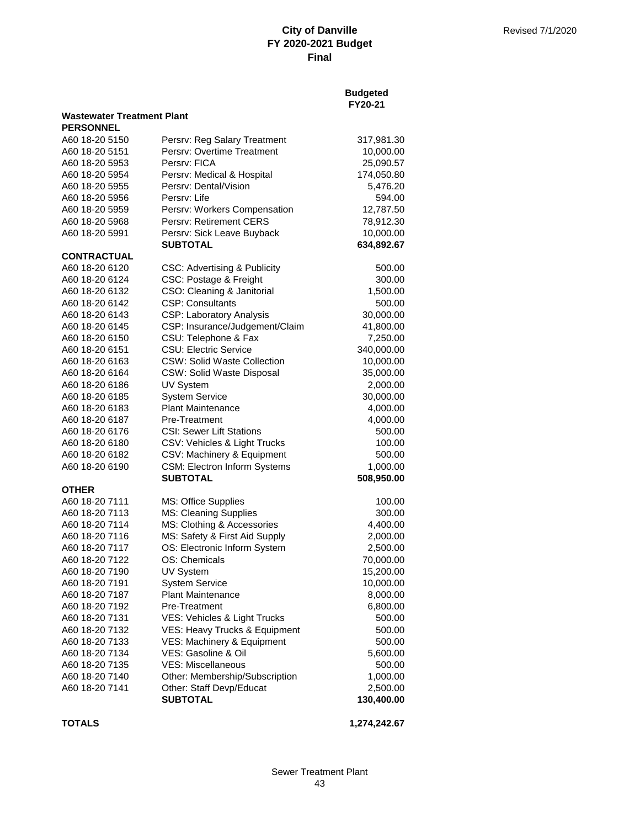|                                   |                                    | <b>Budgeted</b><br>FY20-21 |
|-----------------------------------|------------------------------------|----------------------------|
| <b>Wastewater Treatment Plant</b> |                                    |                            |
| <b>PERSONNEL</b>                  |                                    |                            |
| A60 18-20 5150                    | Persrv: Reg Salary Treatment       | 317,981.30                 |
| A60 18-20 5151                    | Persry: Overtime Treatment         | 10,000.00                  |
| A60 18-20 5953                    | Persrv: FICA                       | 25,090.57                  |
| A60 18-20 5954                    | Persrv: Medical & Hospital         | 174,050.80                 |
| A60 18-20 5955                    | Persry: Dental/Vision              | 5,476.20                   |
| A60 18-20 5956                    | Persrv: Life                       | 594.00                     |
| A60 18-20 5959                    | Persrv: Workers Compensation       | 12,787.50                  |
| A60 18-20 5968                    | Persry: Retirement CERS            | 78,912.30                  |
| A60 18-20 5991                    | Persrv: Sick Leave Buyback         | 10,000.00                  |
|                                   | <b>SUBTOTAL</b>                    | 634,892.67                 |
| <b>CONTRACTUAL</b>                |                                    |                            |
| A60 18-20 6120                    | CSC: Advertising & Publicity       | 500.00                     |
| A60 18-20 6124                    | CSC: Postage & Freight             | 300.00                     |
| A60 18-20 6132                    | CSO: Cleaning & Janitorial         | 1,500.00                   |
| A60 18-20 6142                    | <b>CSP: Consultants</b>            | 500.00                     |
| A60 18-20 6143                    | <b>CSP: Laboratory Analysis</b>    | 30,000.00                  |
| A60 18-20 6145                    | CSP: Insurance/Judgement/Claim     | 41,800.00                  |
| A60 18-20 6150                    | CSU: Telephone & Fax               | 7,250.00                   |
| A60 18-20 6151                    | <b>CSU: Electric Service</b>       | 340,000.00                 |
| A60 18-20 6163                    | <b>CSW: Solid Waste Collection</b> | 10,000.00                  |
| A60 18-20 6164                    | <b>CSW: Solid Waste Disposal</b>   | 35,000.00                  |
| A60 18-20 6186                    | UV System                          | 2,000.00                   |
| A60 18-20 6185                    | <b>System Service</b>              | 30,000.00                  |
| A60 18-20 6183                    | <b>Plant Maintenance</b>           | 4,000.00                   |
| A60 18-20 6187                    | <b>Pre-Treatment</b>               | 4,000.00                   |
| A60 18-20 6176                    | <b>CSI: Sewer Lift Stations</b>    | 500.00                     |
| A60 18-20 6180                    | CSV: Vehicles & Light Trucks       | 100.00                     |
| A60 18-20 6182                    | CSV: Machinery & Equipment         | 500.00                     |
| A60 18-20 6190                    | CSM: Electron Inform Systems       | 1,000.00                   |
|                                   | <b>SUBTOTAL</b>                    | 508,950.00                 |
| <b>OTHER</b>                      |                                    |                            |
| A60 18-20 7111                    | MS: Office Supplies                | 100.00                     |
| A60 18-20 7113                    | MS: Cleaning Supplies              | 300.00                     |
| A60 18-20 7114                    | MS: Clothing & Accessories         | 4,400.00                   |
| A60 18-20 7116                    | MS: Safety & First Aid Supply      | 2,000.00                   |
| A60 18-20 7117                    | OS: Electronic Inform System       | 2,500.00                   |
| A60 18-20 7122                    | OS: Chemicals                      | 70,000.00                  |
| A60 18-20 7190                    | UV System                          | 15,200.00                  |
| A60 18-20 7191                    | <b>System Service</b>              | 10,000.00                  |
| A60 18-20 7187                    | <b>Plant Maintenance</b>           | 8,000.00                   |
| A60 18-20 7192                    | Pre-Treatment                      | 6,800.00                   |
| A60 18-20 7131                    | VES: Vehicles & Light Trucks       | 500.00                     |
| A60 18-20 7132                    | VES: Heavy Trucks & Equipment      | 500.00                     |
| A60 18-20 7133                    | VES: Machinery & Equipment         | 500.00                     |
| A60 18-20 7134                    | VES: Gasoline & Oil                | 5,600.00                   |
| A60 18-20 7135                    | <b>VES: Miscellaneous</b>          | 500.00                     |
| A60 18-20 7140                    | Other: Membership/Subscription     | 1,000.00                   |
| A60 18-20 7141                    | Other: Staff Devp/Educat           | 2,500.00                   |
|                                   | <b>SUBTOTAL</b>                    | 130,400.00                 |
| <b>TOTALS</b>                     |                                    | 1,274,242.67               |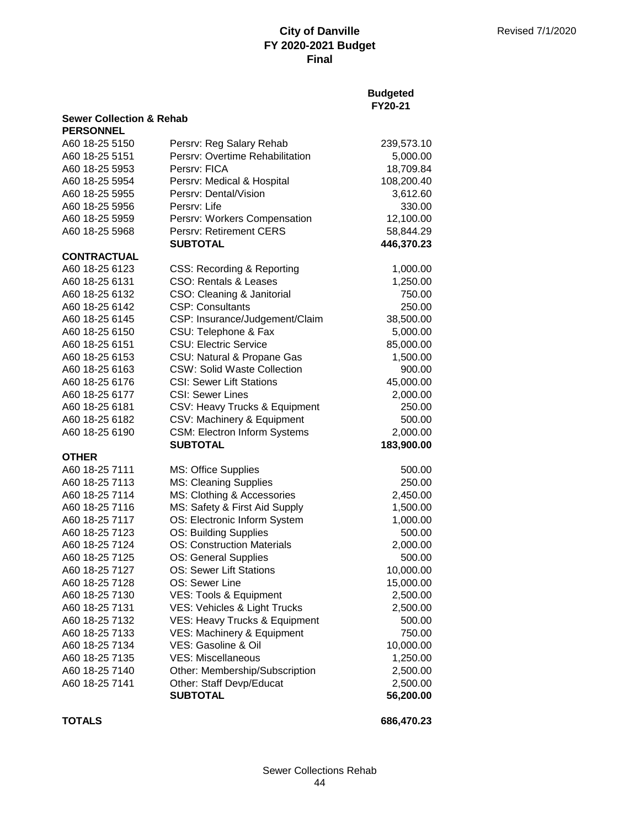## **Budgeted FY20-21**

| <b>Sewer Collection &amp; Rehab</b> |                                     |            |
|-------------------------------------|-------------------------------------|------------|
| <b>PERSONNEL</b>                    |                                     |            |
| A60 18-25 5150                      | Persrv: Reg Salary Rehab            | 239,573.10 |
| A60 18-25 5151                      | Persrv: Overtime Rehabilitation     | 5,000.00   |
| A60 18-25 5953                      | Persrv: FICA                        | 18,709.84  |
| A60 18-25 5954                      | Persrv: Medical & Hospital          | 108,200.40 |
| A60 18-25 5955                      | Persrv: Dental/Vision               | 3,612.60   |
| A60 18-25 5956                      | Persrv: Life                        | 330.00     |
| A60 18-25 5959                      | Persrv: Workers Compensation        | 12,100.00  |
| A60 18-25 5968                      | Persrv: Retirement CERS             | 58,844.29  |
|                                     | <b>SUBTOTAL</b>                     | 446,370.23 |
| <b>CONTRACTUAL</b>                  |                                     |            |
| A60 18-25 6123                      | CSS: Recording & Reporting          | 1,000.00   |
| A60 18-25 6131                      | CSO: Rentals & Leases               | 1,250.00   |
| A60 18-25 6132                      | CSO: Cleaning & Janitorial          | 750.00     |
| A60 18-25 6142                      | <b>CSP: Consultants</b>             | 250.00     |
| A60 18-25 6145                      | CSP: Insurance/Judgement/Claim      | 38,500.00  |
| A60 18-25 6150                      | CSU: Telephone & Fax                | 5,000.00   |
| A60 18-25 6151                      | <b>CSU: Electric Service</b>        | 85,000.00  |
| A60 18-25 6153                      | CSU: Natural & Propane Gas          | 1,500.00   |
| A60 18-25 6163                      | <b>CSW: Solid Waste Collection</b>  | 900.00     |
| A60 18-25 6176                      | <b>CSI: Sewer Lift Stations</b>     | 45,000.00  |
| A60 18-25 6177                      | <b>CSI: Sewer Lines</b>             | 2,000.00   |
| A60 18-25 6181                      | CSV: Heavy Trucks & Equipment       | 250.00     |
| A60 18-25 6182                      | CSV: Machinery & Equipment          | 500.00     |
| A60 18-25 6190                      | <b>CSM: Electron Inform Systems</b> | 2,000.00   |
|                                     | <b>SUBTOTAL</b>                     | 183,900.00 |
| <b>OTHER</b>                        |                                     |            |
| A60 18-25 7111                      | MS: Office Supplies                 | 500.00     |
| A60 18-25 7113                      | MS: Cleaning Supplies               | 250.00     |
| A60 18-25 7114                      | MS: Clothing & Accessories          | 2,450.00   |
| A60 18-25 7116                      | MS: Safety & First Aid Supply       | 1,500.00   |
| A60 18-25 7117                      | OS: Electronic Inform System        | 1,000.00   |
| A60 18-25 7123                      | OS: Building Supplies               | 500.00     |
| A60 18-25 7124                      | <b>OS: Construction Materials</b>   | 2,000.00   |
| A60 18-25 7125                      | OS: General Supplies                | 500.00     |
| A60 18-25 7127                      | <b>OS: Sewer Lift Stations</b>      | 10,000.00  |
| A60 18-25 7128                      | OS: Sewer Line                      | 15,000.00  |
| A60 18-25 7130                      | VES: Tools & Equipment              | 2,500.00   |
| A60 18-25 7131                      | VES: Vehicles & Light Trucks        | 2,500.00   |
| A60 18-25 7132                      | VES: Heavy Trucks & Equipment       | 500.00     |
| A60 18-25 7133                      | VES: Machinery & Equipment          | 750.00     |
| A60 18-25 7134                      | <b>VES: Gasoline &amp; Oil</b>      | 10,000.00  |
| A60 18-25 7135                      | <b>VES: Miscellaneous</b>           | 1,250.00   |
| A60 18-25 7140                      | Other: Membership/Subscription      | 2,500.00   |
| A60 18-25 7141                      | Other: Staff Devp/Educat            | 2,500.00   |
|                                     | <b>SUBTOTAL</b>                     | 56,200.00  |

**TOTALS 686,470.23**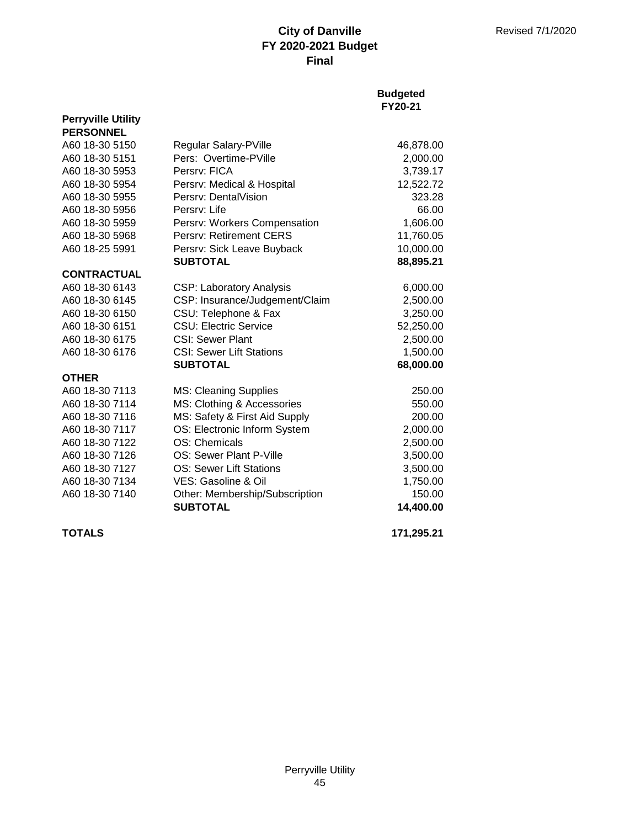### **Budgeted FY20-21**

| <b>PERSONNEL</b>   |                                 |            |
|--------------------|---------------------------------|------------|
| A60 18-30 5150     | Regular Salary-PVille           | 46,878.00  |
| A60 18-30 5151     | Pers: Overtime-PVille           | 2,000.00   |
| A60 18-30 5953     | Persry: FICA                    | 3,739.17   |
| A60 18-30 5954     | Persrv: Medical & Hospital      | 12,522.72  |
| A60 18-30 5955     | Persry: DentalVision            | 323.28     |
| A60 18-30 5956     | Persry: Life                    | 66.00      |
| A60 18-30 5959     | Persrv: Workers Compensation    | 1,606.00   |
| A60 18-30 5968     | Persrv: Retirement CERS         | 11,760.05  |
| A60 18-25 5991     | Persrv: Sick Leave Buyback      | 10,000.00  |
|                    | <b>SUBTOTAL</b>                 | 88,895.21  |
| <b>CONTRACTUAL</b> |                                 |            |
| A60 18-30 6143     | <b>CSP: Laboratory Analysis</b> | 6,000.00   |
| A60 18-30 6145     | CSP: Insurance/Judgement/Claim  | 2,500.00   |
| A60 18-30 6150     | CSU: Telephone & Fax            | 3,250.00   |
| A60 18-30 6151     | <b>CSU: Electric Service</b>    | 52,250.00  |
| A60 18-30 6175     | <b>CSI: Sewer Plant</b>         | 2,500.00   |
| A60 18-30 6176     | <b>CSI: Sewer Lift Stations</b> | 1,500.00   |
|                    | <b>SUBTOTAL</b>                 | 68,000.00  |
| <b>OTHER</b>       |                                 |            |
| A60 18-30 7113     | MS: Cleaning Supplies           | 250.00     |
| A60 18-30 7114     | MS: Clothing & Accessories      | 550.00     |
| A60 18-30 7116     | MS: Safety & First Aid Supply   | 200.00     |
| A60 18-30 7117     | OS: Electronic Inform System    | 2,000.00   |
| A60 18-30 7122     | OS: Chemicals                   | 2,500.00   |
| A60 18-30 7126     | OS: Sewer Plant P-Ville         | 3,500.00   |
| A60 18-30 7127     | <b>OS: Sewer Lift Stations</b>  | 3,500.00   |
| A60 18-30 7134     | VES: Gasoline & Oil             | 1,750.00   |
| A60 18-30 7140     | Other: Membership/Subscription  | 150.00     |
|                    | <b>SUBTOTAL</b>                 | 14,400.00  |
| <b>TOTALS</b>      |                                 | 171,295.21 |

**Perryville Utility**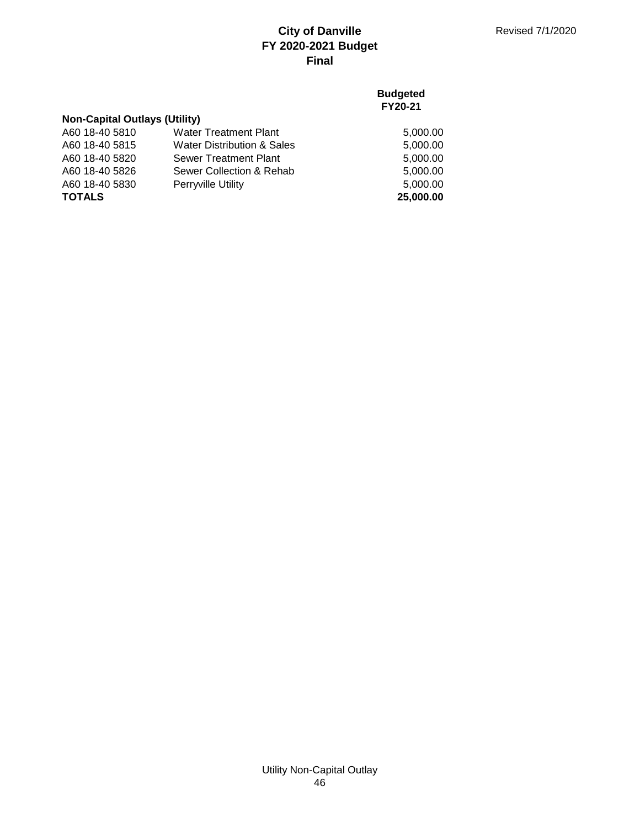## **Budgeted FY20-21**

5,000.00 5,000.00 5,000.00  $5,000.00$ 5,000.00

| <b>Non-Capital Outlays (Utility)</b> |                              |  |
|--------------------------------------|------------------------------|--|
| A60 18-40 5810                       | <b>Water Treatment Plant</b> |  |
| A60 18-40 5815                       | Water Distribution & Sales   |  |
| A60 18-40 5820                       | Sewer Treatment Plant        |  |
| A60 18-40 5826                       | Sewer Collection & Rehab     |  |
| A60 18-40 5830                       | <b>Perryville Utility</b>    |  |

**TOTALS 25,000.00**

## Utility Non-Capital Outlay 46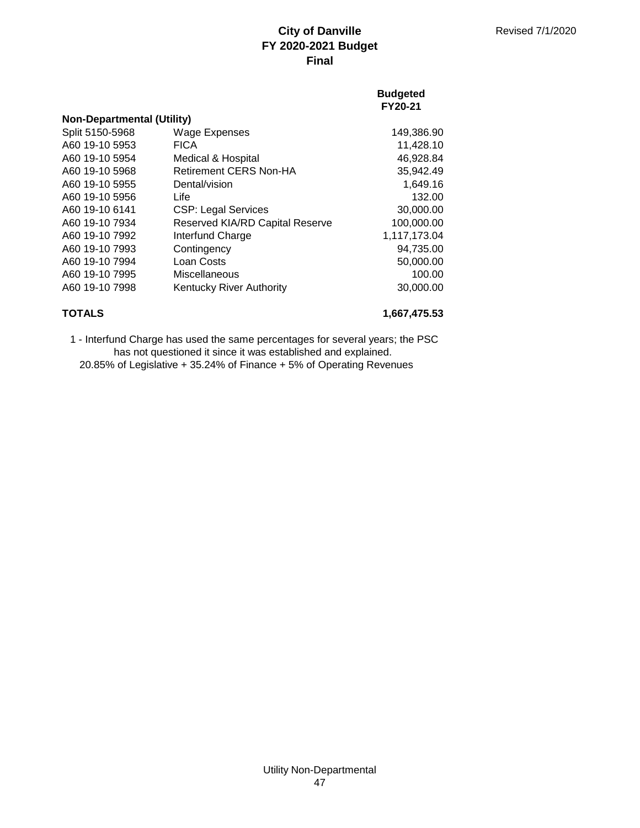### **Budgeted FY20-21**

| <b>Non-Departmental (Utility)</b> |                                        |              |
|-----------------------------------|----------------------------------------|--------------|
| Split 5150-5968                   | <b>Wage Expenses</b>                   | 149,386.90   |
| A60 19-10 5953                    | <b>FICA</b>                            | 11,428.10    |
| A60 19-10 5954                    | Medical & Hospital                     | 46,928.84    |
| A60 19-10 5968                    | Retirement CERS Non-HA                 | 35,942.49    |
| A60 19-10 5955                    | Dental/vision                          | 1,649.16     |
| A60 19-10 5956                    | Life                                   | 132.00       |
| A60 19-10 6141                    | <b>CSP: Legal Services</b>             | 30,000.00    |
| A60 19-10 7934                    | <b>Reserved KIA/RD Capital Reserve</b> | 100,000.00   |
| A60 19-10 7992                    | Interfund Charge                       | 1,117,173.04 |
| A60 19-10 7993                    | Contingency                            | 94,735.00    |
| A60 19-10 7994                    | Loan Costs                             | 50,000.00    |
| A60 19-10 7995                    | Miscellaneous                          | 100.00       |
| A60 19-10 7998                    | Kentucky River Authority               | 30,000.00    |
|                                   |                                        |              |

# **TOTALS 1,667,475.53**

20.85% of Legislative + 35.24% of Finance + 5% of Operating Revenues 1 - Interfund Charge has used the same percentages for several years; the PSC has not questioned it since it was established and explained.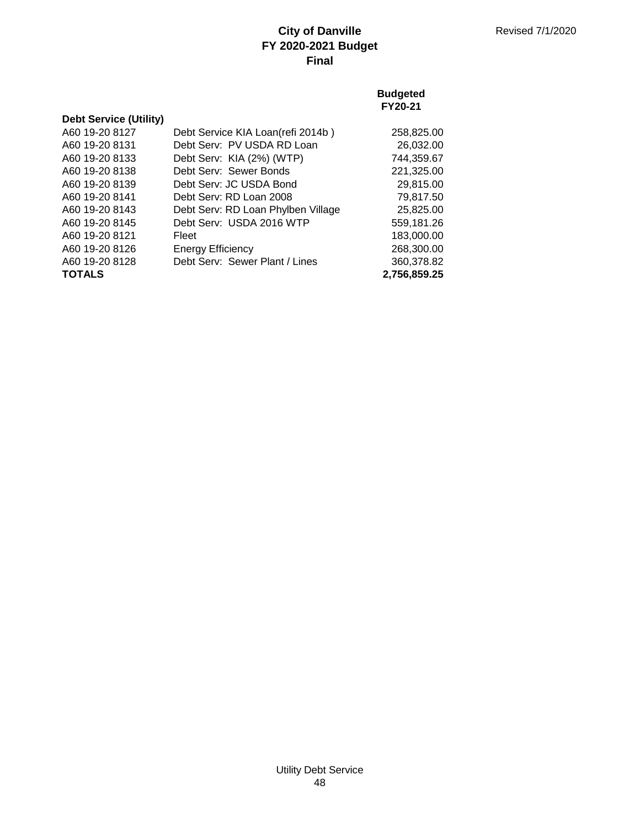### **Budgeted FY20-21**

| <b>Debt Service (Utility)</b> |                                    |              |
|-------------------------------|------------------------------------|--------------|
| A60 19-20 8127                | Debt Service KIA Loan(refi 2014b)  | 258,825.00   |
| A60 19-20 8131                | Debt Serv: PV USDA RD Loan         | 26,032.00    |
| A60 19-20 8133                | Debt Serv: KIA (2%) (WTP)          | 744,359.67   |
| A60 19-20 8138                | Debt Serv: Sewer Bonds             | 221,325.00   |
| A60 19-20 8139                | Debt Serv: JC USDA Bond            | 29,815.00    |
| A60 19-20 8141                | Debt Serv: RD Loan 2008            | 79,817.50    |
| A60 19-20 8143                | Debt Serv: RD Loan Phylben Village | 25,825.00    |
| A60 19-20 8145                | Debt Serv: USDA 2016 WTP           | 559,181.26   |
| A60 19-20 8121                | Fleet                              | 183,000.00   |
| A60 19-20 8126                | <b>Energy Efficiency</b>           | 268,300.00   |
| A60 19-20 8128                | Debt Serv: Sewer Plant / Lines     | 360,378.82   |
| <b>TOTALS</b>                 |                                    | 2,756,859.25 |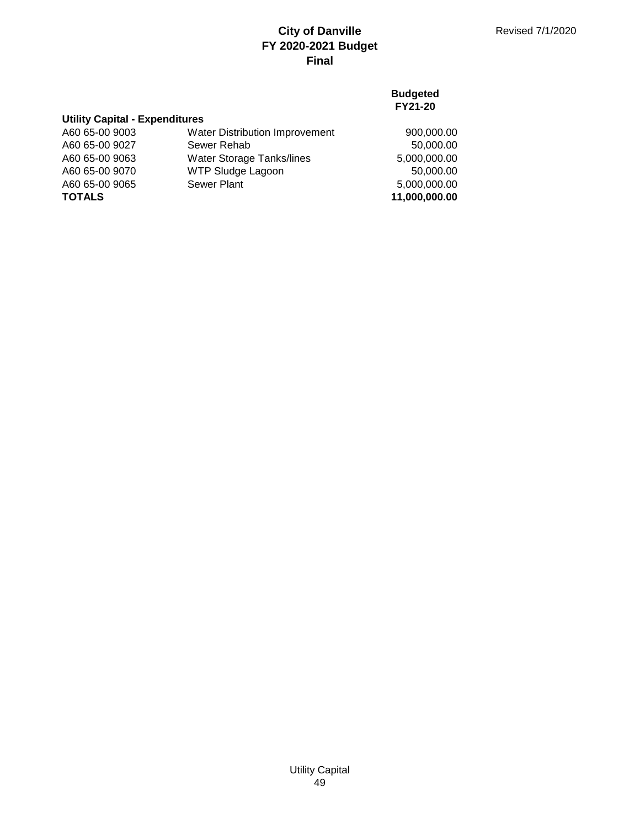### **Budgeted FY21-20**

| <b>Utility Capital - Expenditures</b> |                                  |               |
|---------------------------------------|----------------------------------|---------------|
| A60 65-00 9003                        | Water Distribution Improvement   | 900,000.00    |
| A60 65-00 9027                        | Sewer Rehab                      | 50,000.00     |
| A60 65-00 9063                        | <b>Water Storage Tanks/lines</b> | 5,000,000.00  |
| A60 65-00 9070                        | <b>WTP Sludge Lagoon</b>         | 50,000.00     |
| A60 65-00 9065                        | Sewer Plant                      | 5,000,000.00  |
| <b>TOTALS</b>                         |                                  | 11,000,000.00 |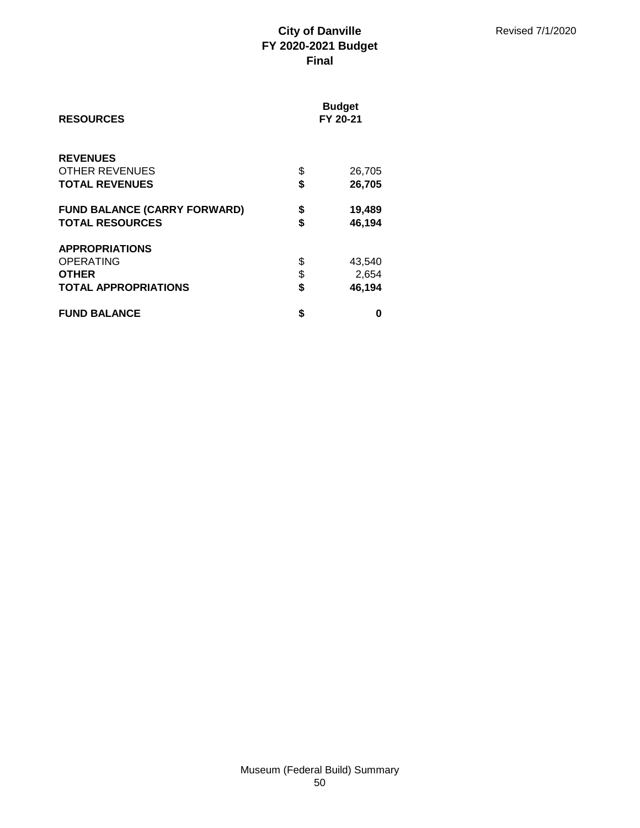| <b>RESOURCES</b>                    | <b>Budget</b><br>FY 20-21 |        |
|-------------------------------------|---------------------------|--------|
| <b>REVENUES</b>                     |                           |        |
| OTHER REVENUES                      | \$                        | 26,705 |
| <b>TOTAL REVENUES</b>               | \$                        | 26,705 |
| <b>FUND BALANCE (CARRY FORWARD)</b> | \$                        | 19,489 |
| <b>TOTAL RESOURCES</b>              | \$                        | 46,194 |
| <b>APPROPRIATIONS</b>               |                           |        |
| <b>OPERATING</b>                    | \$                        | 43,540 |
| <b>OTHER</b>                        | \$                        | 2,654  |
| <b>TOTAL APPROPRIATIONS</b>         | \$                        | 46,194 |
| <b>FUND BALANCE</b>                 | \$                        | O      |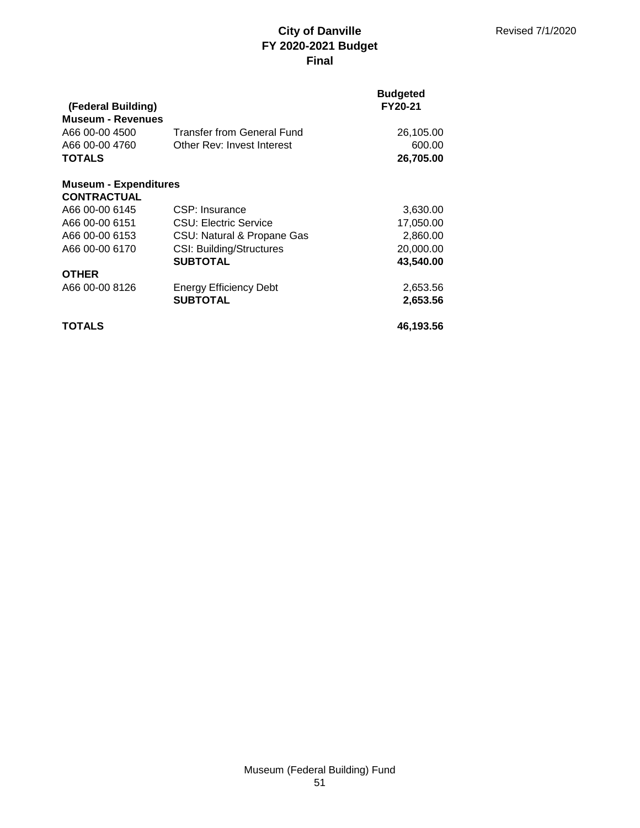| (Federal Building)           |                                 | <b>Budgeted</b><br>FY20-21 |
|------------------------------|---------------------------------|----------------------------|
| <b>Museum - Revenues</b>     |                                 |                            |
| A66 00-00 4500               | Transfer from General Fund      | 26,105.00                  |
| A66 00-00 4760               | Other Rev: Invest Interest      | 600.00                     |
| <b>TOTALS</b>                |                                 | 26,705.00                  |
| <b>Museum - Expenditures</b> |                                 |                            |
| <b>CONTRACTUAL</b>           |                                 |                            |
| A66 00-00 6145               | CSP: Insurance                  | 3,630.00                   |
| A66 00-00 6151               | CSU: Electric Service           | 17,050.00                  |
| A66 00-00 6153               | CSU: Natural & Propane Gas      | 2,860.00                   |
| A66 00-00 6170               | <b>CSI: Building/Structures</b> | 20,000.00                  |
|                              | <b>SUBTOTAL</b>                 | 43.540.00                  |
| <b>OTHER</b>                 |                                 |                            |
| A66 00-00 8126               | Energy Efficiency Debt          | 2,653.56                   |
|                              | <b>SUBTOTAL</b>                 | 2,653.56                   |
| TOTALS                       |                                 | 46,193.56                  |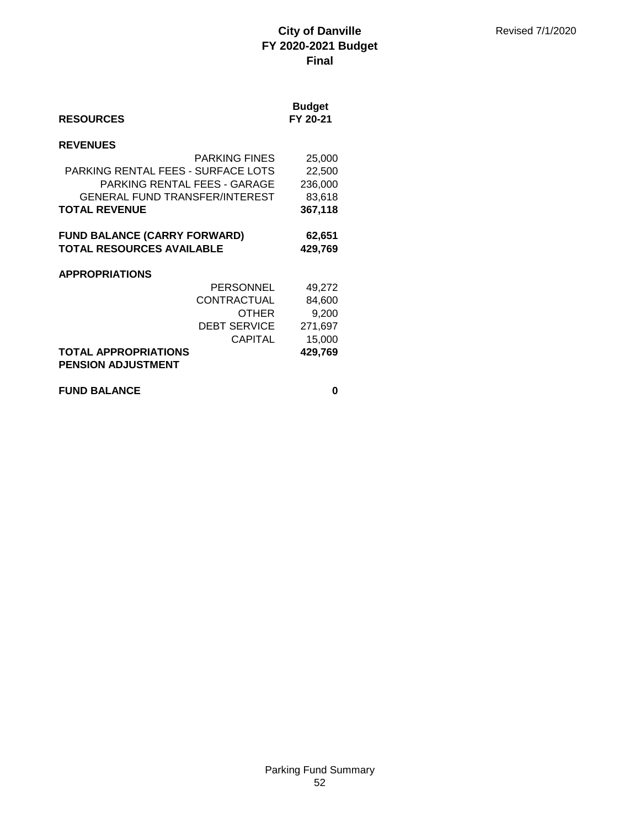| <b>RESOURCES</b>                                         | <b>Budget</b><br>FY 20-21 |
|----------------------------------------------------------|---------------------------|
| <b>REVENUES</b>                                          |                           |
| <b>PARKING FINES</b>                                     | 25,000                    |
| PARKING RENTAL FEES - SURFACE LOTS                       | 22,500                    |
| PARKING RENTAL FEES - GARAGE                             | 236,000                   |
| <b>GENERAL FUND TRANSFER/INTEREST</b>                    | 83,618                    |
| <b>TOTAL REVENUE</b>                                     | 367,118                   |
| <b>FUND BALANCE (CARRY FORWARD)</b>                      | 62,651                    |
| <b>TOTAL RESOURCES AVAILABLE</b>                         | 429,769                   |
| <b>APPROPRIATIONS</b>                                    |                           |
| <b>PERSONNEL</b>                                         | 49,272                    |
| CONTRACTUAL                                              | 84,600                    |
| OTHER                                                    | 9,200                     |
| DEBT SERVICE                                             | 271,697                   |
| <b>CAPITAL</b>                                           | 15,000                    |
| <b>TOTAL APPROPRIATIONS</b><br><b>PENSION ADJUSTMENT</b> | 429,769                   |

**FUND BALANCE** 0